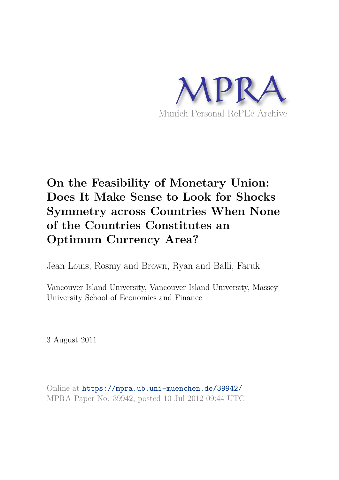

# **On the Feasibility of Monetary Union: Does It Make Sense to Look for Shocks Symmetry across Countries When None of the Countries Constitutes an Optimum Currency Area?**

Jean Louis, Rosmy and Brown, Ryan and Balli, Faruk

Vancouver Island University, Vancouver Island University, Massey University School of Economics and Finance

3 August 2011

Online at https://mpra.ub.uni-muenchen.de/39942/ MPRA Paper No. 39942, posted 10 Jul 2012 09:44 UTC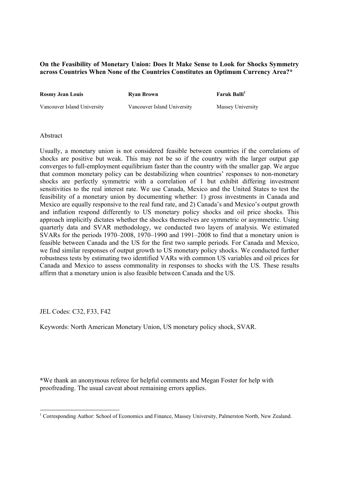#### **On the Feasibility of Monetary Union: Does It Make Sense to Look for Shocks Symmetry across Countries When None of the Countries Constitutes an Optimum Currency Area?\***

| Rosmy Jean Louis |  |  |
|------------------|--|--|
|------------------|--|--|

**Ryan Brown** 

**Faruk Balli<sup>1</sup>**

Vancouver Island University

Vancouver Island University

Massey University

#### Abstract

Usually, a monetary union is not considered feasible between countries if the correlations of shocks are positive but weak. This may not be so if the country with the larger output gap converges to full-employment equilibrium faster than the country with the smaller gap. We argue that common monetary policy can be destabilizing when countries' responses to non-monetary shocks are perfectly symmetric with a correlation of 1 but exhibit differing investment sensitivities to the real interest rate. We use Canada, Mexico and the United States to test the feasibility of a monetary union by documenting whether: 1) gross investments in Canada and Mexico are equally responsive to the real fund rate, and 2) Canada's and Mexico's output growth and inflation respond differently to US monetary policy shocks and oil price shocks. This approach implicitly dictates whether the shocks themselves are symmetric or asymmetric. Using quarterly data and SVAR methodology, we conducted two layers of analysis. We estimated SVARs for the periods 1970–2008, 1970–1990 and 1991–2008 to find that a monetary union is feasible between Canada and the US for the first two sample periods. For Canada and Mexico, we find similar responses of output growth to US monetary policy shocks. We conducted further robustness tests by estimating two identified VARs with common US variables and oil prices for Canada and Mexico to assess commonality in responses to shocks with the US. These results affirm that a monetary union is also feasible between Canada and the US.

JEL Codes: C32, F33, F42

Keywords: North American Monetary Union, US monetary policy shock, SVAR.

**\***We thank an anonymous referee for helpful comments and Megan Foster for help with proofreading. The usual caveat about remaining errors applies.

<sup>1&</sup>lt;br><sup>1</sup> Corresponding Author: School of Economics and Finance, Massey University, Palmerston North, New Zealand.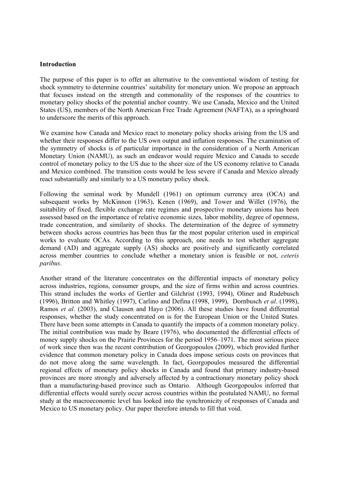#### **Introduction**

The purpose of this paper is to offer an alternative to the conventional wisdom of testing for shock symmetry to determine countries' suitability for monetary union. We propose an approach that focuses instead on the strength and commonality of the responses of the countries to monetary policy shocks of the potential anchor country. We use Canada, Mexico and the United States (US), members of the North American Free Trade Agreement (NAFTA), as a springboard to underscore the merits of this approach.

We examine how Canada and Mexico react to monetary policy shocks arising from the US and whether their responses differ to the US own output and inflation responses. The examination of the symmetry of shocks is of particular importance in the consideration of a North American Monetary Union (NAMU), as such an endeavor would require Mexico and Canada to secede control of monetary policy to the US due to the sheer size of the US economy relative to Canada and Mexico combined. The transition costs would be less severe if Canada and Mexico already react substantially and similarly to a US monetary policy shock.

Following the seminal work by Mundell (1961) on optimum currency area (OCA) and subsequent works by McKinnon (1963), Kenen (1969), and Tower and Willet (1976), the suitability of fixed, flexible exchange rate regimes and prospective monetary unions has been assessed based on the importance of relative economic sizes, labor mobility, degree of openness, trade concentration, and similarity of shocks. The determination of the degree of symmetry between shocks across countries has been thus far the most popular criterion used in empirical works to evaluate OCAs. According to this approach, one needs to test whether aggregate demand (AD) and aggregate supply (AS) shocks are positively and significantly correlated across member countries to conclude whether a monetary union is feasible or not, *ceteris paribus*.

Another strand of the literature concentrates on the differential impacts of monetary policy across industries, regions, consumer groups, and the size of firms within and across countries. This strand includes the works of Gertler and Gilchrist (1993, 1994), Oliner and Rudebusch (1996), Britton and Whitley (1997), Carlino and Defina (1998, 1999), Dornbusch *et al*. (1998), Ramos *et al*. (2003), and Clausen and Hayo (2006). All these studies have found differential responses, whether the study concentrated on is for the European Union or the United States. There have been some attempts in Canada to quantify the impacts of a common monetary policy. The initial contribution was made by Beare (1976), who documented the differential effects of money supply shocks on the Prairie Provinces for the period 1956–1971. The most serious piece of work since then was the recent contribution of Georgopoulos (2009), which provided further evidence that common monetary policy in Canada does impose serious costs on provinces that do not move along the same wavelength. In fact, Georgopoulos measured the differential regional effects of monetary policy shocks in Canada and found that primary industry-based provinces are more strongly and adversely affected by a contractionary monetary policy shock than a manufacturing-based province such as Ontario. Although Georgopoulos inferred that differential effects would surely occur across countries within the postulated NAMU, no formal study at the macroeconomic level has looked into the synchronicity of responses of Canada and Mexico to US monetary policy. Our paper therefore intends to fill that void.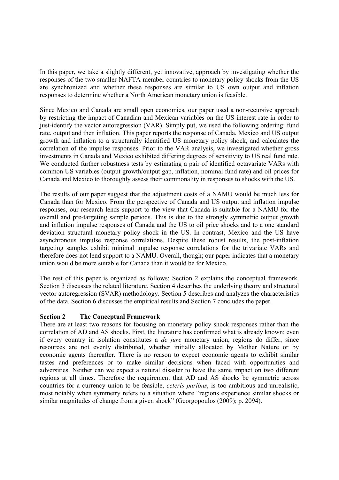In this paper, we take a slightly different, yet innovative, approach by investigating whether the responses of the two smaller NAFTA member countries to monetary policy shocks from the US are synchronized and whether these responses are similar to US own output and inflation responses to determine whether a North American monetary union is feasible.

Since Mexico and Canada are small open economies, our paper used a non-recursive approach by restricting the impact of Canadian and Mexican variables on the US interest rate in order to just-identify the vector autoregression (VAR). Simply put, we used the following ordering: fund rate, output and then inflation. This paper reports the response of Canada, Mexico and US output growth and inflation to a structurally identified US monetary policy shock, and calculates the correlation of the impulse responses. Prior to the VAR analysis, we investigated whether gross investments in Canada and Mexico exhibited differing degrees of sensitivity to US real fund rate. We conducted further robustness tests by estimating a pair of identified octavariate VARs with common US variables (output growth/output gap, inflation, nominal fund rate) and oil prices for Canada and Mexico to thoroughly assess their commonality in responses to shocks with the US.

The results of our paper suggest that the adjustment costs of a NAMU would be much less for Canada than for Mexico. From the perspective of Canada and US output and inflation impulse responses, our research lends support to the view that Canada is suitable for a NAMU for the overall and pre-targeting sample periods. This is due to the strongly symmetric output growth and inflation impulse responses of Canada and the US to oil price shocks and to a one standard deviation structural monetary policy shock in the US. In contrast, Mexico and the US have asynchronous impulse response correlations. Despite these robust results, the post-inflation targeting samples exhibit minimal impulse response correlations for the trivariate VARs and therefore does not lend support to a NAMU. Overall, though; our paper indicates that a monetary union would be more suitable for Canada than it would be for Mexico.

The rest of this paper is organized as follows: Section 2 explains the conceptual framework. Section 3 discusses the related literature. Section 4 describes the underlying theory and structural vector autoregression (SVAR) methodology. Section 5 describes and analyzes the characteristics of the data. Section 6 discusses the empirical results and Section 7 concludes the paper.

#### **Section 2 The Conceptual Framework**

There are at least two reasons for focusing on monetary policy shock responses rather than the correlation of AD and AS shocks. First, the literature has confirmed what is already known: even if every country in isolation constitutes a *de jure* monetary union, regions do differ, since resources are not evenly distributed, whether initially allocated by Mother Nature or by economic agents thereafter. There is no reason to expect economic agents to exhibit similar tastes and preferences or to make similar decisions when faced with opportunities and adversities. Neither can we expect a natural disaster to have the same impact on two different regions at all times. Therefore the requirement that AD and AS shocks be symmetric across countries for a currency union to be feasible, *ceteris paribus*, is too ambitious and unrealistic, most notably when symmetry refers to a situation where "regions experience similar shocks or similar magnitudes of change from a given shock" (Georgopoulos (2009); p. 2094).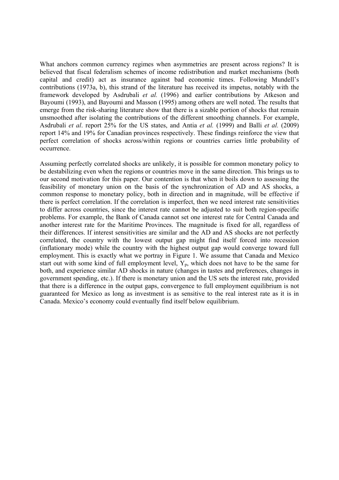What anchors common currency regimes when asymmetries are present across regions? It is believed that fiscal federalism schemes of income redistribution and market mechanisms (both capital and credit) act as insurance against bad economic times. Following Mundell's contributions (1973a, b), this strand of the literature has received its impetus, notably with the framework developed by Asdrubali *et al.* (1996) and earlier contributions by Atkeson and Bayoumi (1993), and Bayoumi and Masson (1995) among others are well noted. The results that emerge from the risk-sharing literature show that there is a sizable portion of shocks that remain unsmoothed after isolating the contributions of the different smoothing channels. For example, Asdrubali *et al*. report 25% for the US states, and Antia *et al.* (1999) and Balli *et al.* (2009) report 14% and 19% for Canadian provinces respectively. These findings reinforce the view that perfect correlation of shocks across/within regions or countries carries little probability of occurrence.

Assuming perfectly correlated shocks are unlikely, it is possible for common monetary policy to be destabilizing even when the regions or countries move in the same direction. This brings us to our second motivation for this paper. Our contention is that when it boils down to assessing the feasibility of monetary union on the basis of the synchronization of AD and AS shocks, a common response to monetary policy, both in direction and in magnitude, will be effective if there is perfect correlation. If the correlation is imperfect, then we need interest rate sensitivities to differ across countries, since the interest rate cannot be adjusted to suit both region-specific problems. For example, the Bank of Canada cannot set one interest rate for Central Canada and another interest rate for the Maritime Provinces. The magnitude is fixed for all, regardless of their differences. If interest sensitivities are similar and the AD and AS shocks are not perfectly correlated, the country with the lowest output gap might find itself forced into recession (inflationary mode) while the country with the highest output gap would converge toward full employment. This is exactly what we portray in Figure 1. We assume that Canada and Mexico start out with some kind of full employment level,  $Y_p$ , which does not have to be the same for both, and experience similar AD shocks in nature (changes in tastes and preferences, changes in government spending, etc.). If there is monetary union and the US sets the interest rate, provided that there is a difference in the output gaps, convergence to full employment equilibrium is not guaranteed for Mexico as long as investment is as sensitive to the real interest rate as it is in Canada. Mexico's economy could eventually find itself below equilibrium.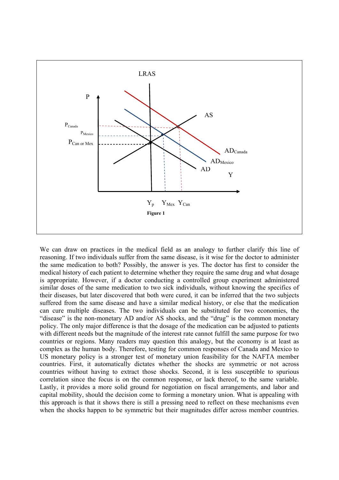

We can draw on practices in the medical field as an analogy to further clarify this line of reasoning. If two individuals suffer from the same disease, is it wise for the doctor to administer the same medication to both? Possibly, the answer is yes. The doctor has first to consider the medical history of each patient to determine whether they require the same drug and what dosage is appropriate. However, if a doctor conducting a controlled group experiment administered similar doses of the same medication to two sick individuals, without knowing the specifics of their diseases, but later discovered that both were cured, it can be inferred that the two subjects suffered from the same disease and have a similar medical history, or else that the medication can cure multiple diseases. The two individuals can be substituted for two economies, the "disease" is the non-monetary AD and/or AS shocks, and the "drug" is the common monetary policy. The only major difference is that the dosage of the medication can be adjusted to patients with different needs but the magnitude of the interest rate cannot fulfill the same purpose for two countries or regions. Many readers may question this analogy, but the economy is at least as complex as the human body. Therefore, testing for common responses of Canada and Mexico to US monetary policy is a stronger test of monetary union feasibility for the NAFTA member countries. First, it automatically dictates whether the shocks are symmetric or not across countries without having to extract those shocks. Second, it is less susceptible to spurious correlation since the focus is on the common response, or lack thereof, to the same variable. Lastly, it provides a more solid ground for negotiation on fiscal arrangements, and labor and capital mobility, should the decision come to forming a monetary union. What is appealing with this approach is that it shows there is still a pressing need to reflect on these mechanisms even when the shocks happen to be symmetric but their magnitudes differ across member countries.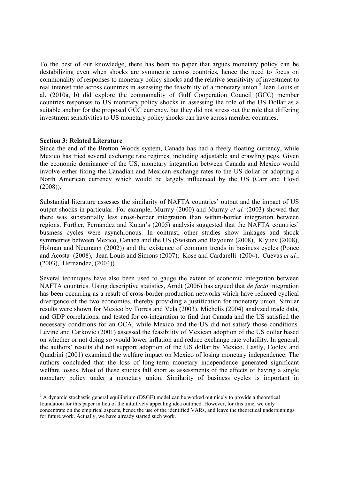To the best of our knowledge, there has been no paper that argues monetary policy can be destabilizing even when shocks are symmetric across countries, hence the need to focus on commonality of responses to monetary policy shocks and the relative sensitivity of investment to real interest rate across countries in assessing the feasibility of a monetary union.<sup>2</sup> Jean Louis et al. (2010a, b) did explore the commonality of Gulf Cooperation Council (GCC) member countries responses to US monetary policy shocks in assessing the role of the US Dollar as a suitable anchor for the proposed GCC currency, but they did not stress out the role that differing investment sensitivities to US monetary policy shocks can have across member countries.

#### **Section 3: Related Literature**

Since the end of the Bretton Woods system, Canada has had a freely floating currency, while Mexico has tried several exchange rate regimes, including adjustable and crawling pegs. Given the economic dominance of the US, monetary integration between Canada and Mexico would involve either fixing the Canadian and Mexican exchange rates to the US dollar or adopting a North American currency which would be largely influenced by the US (Carr and Floyd (2008)).

Substantial literature assesses the similarity of NAFTA countries' output and the impact of US output shocks in particular. For example, Murray (2000) and Murray *et al.* (2003) showed that there was substantially less cross-border integration than within-border integration between regions. Further, Fernandez and Kutan's (2005) analysis suggested that the NAFTA countries' business cycles were asynchronous. In contrast, other studies show linkages and shock symmetries between Mexico, Canada and the US (Swiston and Bayoumi (2008), Klyuev (2008), Holman and Neumann (2002)) and the existence of common trends in business cycles (Ponce and Acosta (2008), Jean Louis and Simons (2007); Kose and Cardarelli (2004), Cuevas *et al.*, (2003), Hernandez, (2004)).

Several techniques have also been used to gauge the extent of economic integration between NAFTA countries. Using descriptive statistics, Arndt (2006) has argued that *de facto* integration has been occurring as a result of cross-border production networks which have reduced cyclical divergence of the two economies, thereby providing a justification for monetary union. Similar results were shown for Mexico by Torres and Vela (2003). Michelis (2004) analyzed trade data, and GDP correlations, and tested for co-integration to find that Canada and the US satisfied the necessary conditions for an OCA, while Mexico and the US did not satisfy those conditions. Levine and Carkovic (2001) assessed the feasibility of Mexican adoption of the US dollar based on whether or not doing so would lower inflation and reduce exchange rate volatility. In general, the authors' results did not support adoption of the US dollar by Mexico. Lastly, Cooley and Quadrini (2001) examined the welfare impact on Mexico of losing monetary independence. The authors concluded that the loss of long-term monetary independence generated significant welfare losses. Most of these studies fall short as assessments of the effects of having a single monetary policy under a monetary union. Similarity of business cycles is important in

<sup>&</sup>lt;sup>2</sup> A dynamic stochastic general equilibrium (DSGE) model can be worked out nicely to provide a theoretical foundation for this paper in lieu of the intuitively appealing idea outlined. However, for this time, we only concentrate on the empirical aspects, hence the use of the identified VARs, and leave the theoretical underpinnings for future work. Actually, we have already started such work.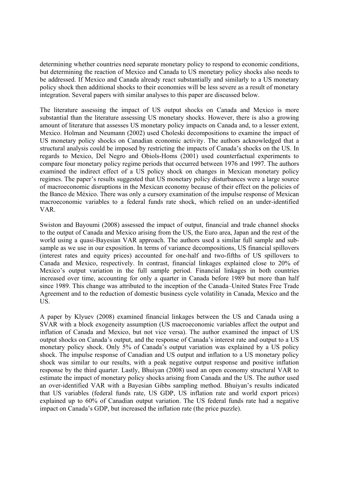determining whether countries need separate monetary policy to respond to economic conditions, but determining the reaction of Mexico and Canada to US monetary policy shocks also needs to be addressed. If Mexico and Canada already react substantially and similarly to a US monetary policy shock then additional shocks to their economies will be less severe as a result of monetary integration. Several papers with similar analyses to this paper are discussed below.

The literature assessing the impact of US output shocks on Canada and Mexico is more substantial than the literature assessing US monetary shocks. However, there is also a growing amount of literature that assesses US monetary policy impacts on Canada and, to a lesser extent, Mexico. Holman and Neumann (2002) used Choleski decompositions to examine the impact of US monetary policy shocks on Canadian economic activity. The authors acknowledged that a structural analysis could be imposed by restricting the impacts of Canada's shocks on the US. In regards to Mexico, Del Negro and Obiols-Homs (2001) used counterfactual experiments to compare four monetary policy regime periods that occurred between 1976 and 1997. The authors examined the indirect effect of a US policy shock on changes in Mexican monetary policy regimes. The paper's results suggested that US monetary policy disturbances were a large source of macroeconomic disruptions in the Mexican economy because of their effect on the policies of the Banco de México. There was only a cursory examination of the impulse response of Mexican macroeconomic variables to a federal funds rate shock, which relied on an under-identified VAR.

Swiston and Bayoumi (2008) assessed the impact of output, financial and trade channel shocks to the output of Canada and Mexico arising from the US, the Euro area, Japan and the rest of the world using a quasi-Bayesian VAR approach. The authors used a similar full sample and subsample as we use in our exposition. In terms of variance decompositions, US financial spillovers (interest rates and equity prices) accounted for one-half and two-fifths of US spillovers to Canada and Mexico, respectively. In contrast, financial linkages explained close to 20% of Mexico's output variation in the full sample period. Financial linkages in both countries increased over time, accounting for only a quarter in Canada before 1989 but more than half since 1989. This change was attributed to the inception of the Canada–United States Free Trade Agreement and to the reduction of domestic business cycle volatility in Canada, Mexico and the US.

A paper by Klyuev (2008) examined financial linkages between the US and Canada using a SVAR with a block exogeneity assumption (US macroeconomic variables affect the output and inflation of Canada and Mexico, but not vice versa). The author examined the impact of US output shocks on Canada's output, and the response of Canada's interest rate and output to a US monetary policy shock. Only 5% of Canada's output variation was explained by a US policy shock. The impulse response of Canadian and US output and inflation to a US monetary policy shock was similar to our results, with a peak negative output response and positive inflation response by the third quarter. Lastly, Bhuiyan (2008) used an open economy structural VAR to estimate the impact of monetary policy shocks arising from Canada and the US. The author used an over-identified VAR with a Bayesian Gibbs sampling method. Bhuiyan's results indicated that US variables (federal funds rate, US GDP, US inflation rate and world export prices) explained up to 60% of Canadian output variation. The US federal funds rate had a negative impact on Canada's GDP, but increased the inflation rate (the price puzzle).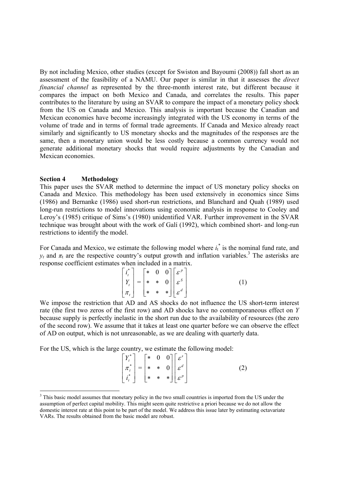By not including Mexico, other studies (except for Swiston and Bayoumi (2008)) fall short as an assessment of the feasibility of a NAMU. Our paper is similar in that it assesses the *direct financial channel* as represented by the three-month interest rate, but different because it compares the impact on both Mexico and Canada, and correlates the results. This paper contributes to the literature by using an SVAR to compare the impact of a monetary policy shock from the US on Canada and Mexico. This analysis is important because the Canadian and Mexican economies have become increasingly integrated with the US economy in terms of the volume of trade and in terms of formal trade agreements. If Canada and Mexico already react similarly and significantly to US monetary shocks and the magnitudes of the responses are the same, then a monetary union would be less costly because a common currency would not generate additional monetary shocks that would require adjustments by the Canadian and Mexican economies.

#### **Section 4 Methodology**

-

This paper uses the SVAR method to determine the impact of US monetary policy shocks on Canada and Mexico. This methodology has been used extensively in economics since Sims (1986) and Bernanke (1986) used short-run restrictions, and Blanchard and Quah (1989) used long-run restrictions to model innovations using economic analysis in response to Cooley and Leroy's (1985) critique of Sims's (1980) unidentified VAR. Further improvement in the SVAR technique was brought about with the work of Galí (1992), which combined short- and long-run restrictions to identify the model.

For Canada and Mexico, we estimate the following model where  $i_t^*$  is the nominal fund rate, and  $y_t$  and  $\pi_t$  are the respective country's output growth and inflation variables.<sup>3</sup> The asterisks are response coefficient estimates when included in a matrix.

$$
\begin{bmatrix} i_t^* \\ Y_t \\ \pi_t \end{bmatrix} = \begin{bmatrix} * & 0 & 0 \\ * & * & 0 \\ * & * & * \end{bmatrix} \begin{bmatrix} \varepsilon^p \\ \varepsilon^s \\ \varepsilon^d \end{bmatrix}
$$
 (1)

We impose the restriction that AD and AS shocks do not influence the US short-term interest rate (the first two zeros of the first row) and AD shocks have no contemporaneous effect on *Y*  because supply is perfectly inelastic in the short run due to the availability of resources (the zero of the second row). We assume that it takes at least one quarter before we can observe the effect of AD on output, which is not unreasonable, as we are dealing with quarterly data.

For the US, which is the large country, we estimate the following model:

$$
\begin{bmatrix} Y_t^* \\ \pi_t^* \\ i_t^* \end{bmatrix} = \begin{bmatrix} * & 0 & 0 \\ * & * & 0 \\ * & * & * \end{bmatrix} \begin{bmatrix} \varepsilon^s \\ \varepsilon^d \\ \varepsilon^p \end{bmatrix}
$$
 (2)

<sup>&</sup>lt;sup>3</sup> This basic model assumes that monetary policy in the two small countries is imported from the US under the assumption of perfect capital mobility. This might seem quite restrictive a priori because we do not allow the domestic interest rate at this point to be part of the model. We address this issue later by estimating octavariate VARs. The results obtained from the basic model are robust.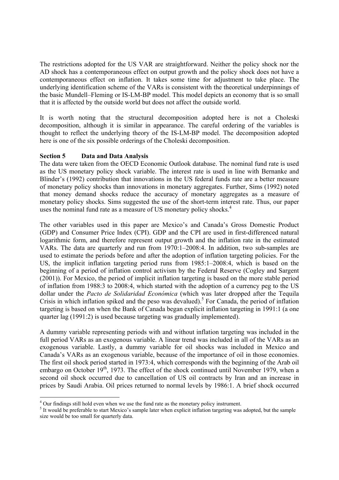The restrictions adopted for the US VAR are straightforward. Neither the policy shock nor the AD shock has a contemporaneous effect on output growth and the policy shock does not have a contemporaneous effect on inflation. It takes some time for adjustment to take place. The underlying identification scheme of the VARs is consistent with the theoretical underpinnings of the basic Mundell–Fleming or IS-LM-BP model. This model depicts an economy that is so small that it is affected by the outside world but does not affect the outside world.

It is worth noting that the structural decomposition adopted here is not a Choleski decomposition, although it is similar in appearance. The careful ordering of the variables is thought to reflect the underlying theory of the IS-LM-BP model. The decomposition adopted here is one of the six possible orderings of the Choleski decomposition.

#### **Section 5 Data and Data Analysis**

The data were taken from the OECD Economic Outlook database. The nominal fund rate is used as the US monetary policy shock variable. The interest rate is used in line with Bernanke and Blinder's (1992) contribution that innovations in the US federal funds rate are a better measure of monetary policy shocks than innovations in monetary aggregates. Further, Sims (1992) noted that money demand shocks reduce the accuracy of monetary aggregates as a measure of monetary policy shocks. Sims suggested the use of the short-term interest rate. Thus, our paper uses the nominal fund rate as a measure of US monetary policy shocks.<sup>4</sup>

The other variables used in this paper are Mexico's and Canada's Gross Domestic Product (GDP) and Consumer Price Index (CPI). GDP and the CPI are used in first-differenced natural logarithmic form, and therefore represent output growth and the inflation rate in the estimated VARs. The data are quarterly and run from 1970:1–2008:4. In addition, two sub-samples are used to estimate the periods before and after the adoption of inflation targeting policies. For the US, the implicit inflation targeting period runs from 1985:1–2008:4, which is based on the beginning of a period of inflation control activism by the Federal Reserve (Cogley and Sargent (2001)). For Mexico, the period of implicit inflation targeting is based on the more stable period of inflation from 1988:3 to 2008:4, which started with the adoption of a currency peg to the US dollar under the *Pacto de Solidaridad Económica* (which was later dropped after the Tequila Crisis in which inflation spiked and the peso was devalued).<sup>5</sup> For Canada, the period of inflation targeting is based on when the Bank of Canada began explicit inflation targeting in 1991:1 (a one quarter lag (1991:2) is used because targeting was gradually implemented).

A dummy variable representing periods with and without inflation targeting was included in the full period VARs as an exogenous variable. A linear trend was included in all of the VARs as an exogenous variable. Lastly, a dummy variable for oil shocks was included in Mexico and Canada's VARs as an exogenous variable, because of the importance of oil in those economies. The first oil shock period started in 1973:4, which corresponds with the beginning of the Arab oil embargo on October 19<sup>th</sup>, 1973. The effect of the shock continued until November 1979, when a second oil shock occurred due to cancellation of US oil contracts by Iran and an increase in prices by Saudi Arabia. Oil prices returned to normal levels by 1986:1. A brief shock occurred

 4 Our findings still hold even when we use the fund rate as the monetary policy instrument.

 $<sup>5</sup>$  It would be preferable to start Mexico's sample later when explicit inflation targeting was adopted, but the sample</sup> size would be too small for quarterly data.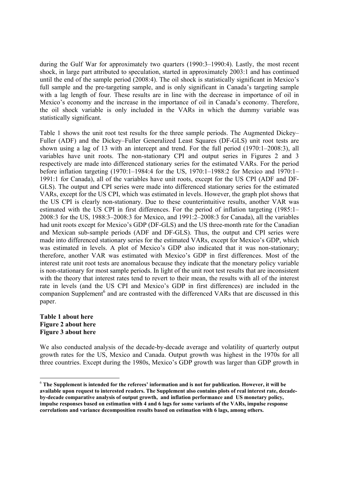during the Gulf War for approximately two quarters (1990:3–1990:4). Lastly, the most recent shock, in large part attributed to speculation, started in approximately 2003:1 and has continued until the end of the sample period (2008:4). The oil shock is statistically significant in Mexico's full sample and the pre-targeting sample, and is only significant in Canada's targeting sample with a lag length of four. These results are in line with the decrease in importance of oil in Mexico's economy and the increase in the importance of oil in Canada's economy. Therefore, the oil shock variable is only included in the VARs in which the dummy variable was statistically significant.

Table 1 shows the unit root test results for the three sample periods. The Augmented Dickey– Fuller (ADF) and the Dickey–Fuller Generalized Least Squares (DF-GLS) unit root tests are shown using a lag of 13 with an intercept and trend. For the full period (1970:1–2008:3), all variables have unit roots. The non-stationary CPI and output series in Figures 2 and 3 respectively are made into differenced stationary series for the estimated VARs. For the period before inflation targeting (1970:1–1984:4 for the US, 1970:1–1988:2 for Mexico and 1970:1– 1991:1 for Canada), all of the variables have unit roots, except for the US CPI (ADF and DF-GLS). The output and CPI series were made into differenced stationary series for the estimated VARs, except for the US CPI, which was estimated in levels. However, the graph plot shows that the US CPI is clearly non-stationary. Due to these counterintuitive results, another VAR was estimated with the US CPI in first differences. For the period of inflation targeting (1985:1– 2008:3 for the US, 1988:3–2008:3 for Mexico, and 1991:2–2008:3 for Canada), all the variables had unit roots except for Mexico's GDP (DF-GLS) and the US three-month rate for the Canadian and Mexican sub-sample periods (ADF and DF-GLS). Thus, the output and CPI series were made into differenced stationary series for the estimated VARs, except for Mexico's GDP, which was estimated in levels. A plot of Mexico's GDP also indicated that it was non-stationary; therefore, another VAR was estimated with Mexico's GDP in first differences. Most of the interest rate unit root tests are anomalous because they indicate that the monetary policy variable is non-stationary for most sample periods. In light of the unit root test results that are inconsistent with the theory that interest rates tend to revert to their mean, the results with all of the interest rate in levels (and the US CPI and Mexico's GDP in first differences) are included in the companion Supplement<sup>6</sup> and are contrasted with the differenced VARs that are discussed in this paper.

#### **Table 1 about here Figure 2 about here Figure 3 about here**

-

We also conducted analysis of the decade-by-decade average and volatility of quarterly output growth rates for the US, Mexico and Canada. Output growth was highest in the 1970s for all three countries. Except during the 1980s, Mexico's GDP growth was larger than GDP growth in

<sup>6</sup> **The Supplement is intended for the referees' information and is not for publication. However, it will be available upon request to interested readers. The Supplement also contains plots of real interest rate, decadeby-decade comparative analysis of output growth, and inflation performance and US monetary policy, impulse responses based on estimation with 4 and 6 lags for some variants of the VARs, impulse response correlations and variance decomposition results based on estimation with 6 lags, among others.**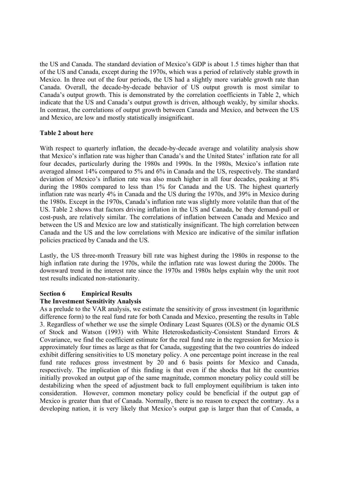the US and Canada. The standard deviation of Mexico's GDP is about 1.5 times higher than that of the US and Canada, except during the 1970s, which was a period of relatively stable growth in Mexico. In three out of the four periods, the US had a slightly more variable growth rate than Canada. Overall, the decade-by-decade behavior of US output growth is most similar to Canada's output growth. This is demonstrated by the correlation coefficients in Table 2, which indicate that the US and Canada's output growth is driven, although weakly, by similar shocks. In contrast, the correlations of output growth between Canada and Mexico, and between the US and Mexico, are low and mostly statistically insignificant.

## **Table 2 about here**

With respect to quarterly inflation, the decade-by-decade average and volatility analysis show that Mexico's inflation rate was higher than Canada's and the United States' inflation rate for all four decades, particularly during the 1980s and 1990s. In the 1980s, Mexico's inflation rate averaged almost 14% compared to 5% and 6% in Canada and the US, respectively. The standard deviation of Mexico's inflation rate was also much higher in all four decades, peaking at 8% during the 1980s compared to less than 1% for Canada and the US. The highest quarterly inflation rate was nearly 4% in Canada and the US during the 1970s, and 39% in Mexico during the 1980s. Except in the 1970s, Canada's inflation rate was slightly more volatile than that of the US. Table 2 shows that factors driving inflation in the US and Canada, be they demand-pull or cost-push, are relatively similar. The correlations of inflation between Canada and Mexico and between the US and Mexico are low and statistically insignificant. The high correlation between Canada and the US and the low correlations with Mexico are indicative of the similar inflation policies practiced by Canada and the US.

Lastly, the US three-month Treasury bill rate was highest during the 1980s in response to the high inflation rate during the 1970s, while the inflation rate was lowest during the 2000s. The downward trend in the interest rate since the 1970s and 1980s helps explain why the unit root test results indicated non-stationarity.

#### **Section 6 Empirical Results**

#### **The Investment Sensitivity Analysis**

As a prelude to the VAR analysis, we estimate the sensitivity of gross investment (in logarithmic difference form) to the real fund rate for both Canada and Mexico, presenting the results in Table 3. Regardless of whether we use the simple Ordinary Least Squares (OLS) or the dynamic OLS of Stock and Watson (1993) with White Heteroskedasticity-Consistent Standard Errors & Covariance, we find the coefficient estimate for the real fund rate in the regression for Mexico is approximately four times as large as that for Canada, suggesting that the two countries do indeed exhibit differing sensitivities to US monetary policy. A one percentage point increase in the real fund rate reduces gross investment by 20 and 6 basis points for Mexico and Canada, respectively. The implication of this finding is that even if the shocks that hit the countries initially provoked an output gap of the same magnitude, common monetary policy could still be destabilizing when the speed of adjustment back to full employment equilibrium is taken into consideration. However, common monetary policy could be beneficial if the output gap of Mexico is greater than that of Canada. Normally, there is no reason to expect the contrary. As a developing nation, it is very likely that Mexico's output gap is larger than that of Canada, a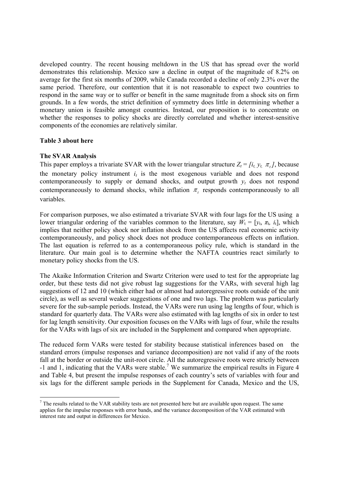developed country. The recent housing meltdown in the US that has spread over the world demonstrates this relationship. Mexico saw a decline in output of the magnitude of 8.2% on average for the first six months of 2009, while Canada recorded a decline of only 2.3% over the same period. Therefore, our contention that it is not reasonable to expect two countries to respond in the same way or to suffer or benefit in the same magnitude from a shock sits on firm grounds. In a few words, the strict definition of symmetry does little in determining whether a monetary union is feasible amongst countries. Instead, our proposition is to concentrate on whether the responses to policy shocks are directly correlated and whether interest-sensitive components of the economies are relatively similar.

## **Table 3 about here**

#### **The SVAR Analysis**

-

This paper employs a trivariate SVAR with the lower triangular structure  $Z_t = [i_t, y_t, \pi_t]$ , because the monetary policy instrument  $i_t$  is the most exogenous variable and does not respond contemporaneously to supply or demand shocks, and output growth  $y_t$  does not respond contemporaneously to demand shocks, while inflation  $\pi$ , responds contemporaneously to all variables.

For comparison purposes, we also estimated a trivariate SVAR with four lags for the US using a lower triangular ordering of the variables common to the literature, say  $W_t = [y_t, \pi_t, i_t]$ , which implies that neither policy shock nor inflation shock from the US affects real economic activity contemporaneously, and policy shock does not produce contemporaneous effects on inflation. The last equation is referred to as a contemporaneous policy rule, which is standard in the literature. Our main goal is to determine whether the NAFTA countries react similarly to monetary policy shocks from the US.

The Akaike Information Criterion and Swartz Criterion were used to test for the appropriate lag order, but these tests did not give robust lag suggestions for the VARs, with several high lag suggestions of 12 and 10 (which either had or almost had autoregressive roots outside of the unit circle), as well as several weaker suggestions of one and two lags. The problem was particularly severe for the sub-sample periods. Instead, the VARs were run using lag lengths of four, which is standard for quarterly data. The VARs were also estimated with lag lengths of six in order to test for lag length sensitivity. Our exposition focuses on the VARs with lags of four, while the results for the VARs with lags of six are included in the Supplement and compared when appropriate.

The reduced form VARs were tested for stability because statistical inferences based on the standard errors (impulse responses and variance decomposition) are not valid if any of the roots fall at the border or outside the unit-root circle. All the autoregressive roots were strictly between  $-1$  and 1, indicating that the VARs were stable.<sup>7</sup> We summarize the empirical results in Figure 4 and Table 4, but present the impulse responses of each country's sets of variables with four and six lags for the different sample periods in the Supplement for Canada, Mexico and the US,

 $<sup>7</sup>$  The results related to the VAR stability tests are not presented here but are available upon request. The same</sup> applies for the impulse responses with error bands, and the variance decomposition of the VAR estimated with interest rate and output in differences for Mexico.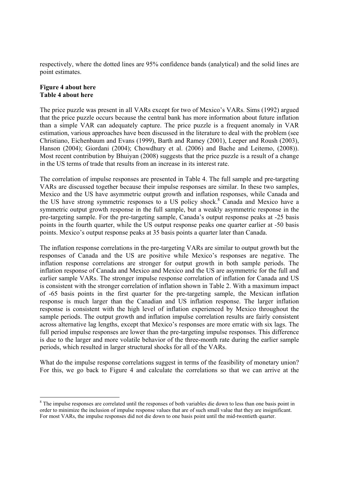respectively, where the dotted lines are 95% confidence bands (analytical) and the solid lines are point estimates.

#### **Figure 4 about here Table 4 about here**

-

The price puzzle was present in all VARs except for two of Mexico's VARs. Sims (1992) argued that the price puzzle occurs because the central bank has more information about future inflation than a simple VAR can adequately capture. The price puzzle is a frequent anomaly in VAR estimation, various approaches have been discussed in the literature to deal with the problem (see Christiano, Eichenbaum and Evans (1999), Barth and Ramey (2001), Leeper and Roush (2003), Hanson (2004); Giordani (2004); Chowdhury et al. (2006) and Bache and Leitemo, (2008)). Most recent contribution by Bhuiyan (2008) suggests that the price puzzle is a result of a change in the US terms of trade that results from an increase in its interest rate.

The correlation of impulse responses are presented in Table 4. The full sample and pre-targeting VARs are discussed together because their impulse responses are similar. In these two samples, Mexico and the US have asymmetric output growth and inflation responses, while Canada and the US have strong symmetric responses to a US policy shock.<sup>8</sup> Canada and Mexico have a symmetric output growth response in the full sample, but a weakly asymmetric response in the pre-targeting sample. For the pre-targeting sample, Canada's output response peaks at -25 basis points in the fourth quarter, while the US output response peaks one quarter earlier at -50 basis points. Mexico's output response peaks at 35 basis points a quarter later than Canada.

The inflation response correlations in the pre-targeting VARs are similar to output growth but the responses of Canada and the US are positive while Mexico's responses are negative. The inflation response correlations are stronger for output growth in both sample periods. The inflation response of Canada and Mexico and Mexico and the US are asymmetric for the full and earlier sample VARs. The stronger impulse response correlation of inflation for Canada and US is consistent with the stronger correlation of inflation shown in Table 2. With a maximum impact of -65 basis points in the first quarter for the pre-targeting sample, the Mexican inflation response is much larger than the Canadian and US inflation response. The larger inflation response is consistent with the high level of inflation experienced by Mexico throughout the sample periods. The output growth and inflation impulse correlation results are fairly consistent across alternative lag lengths, except that Mexico's responses are more erratic with six lags. The full period impulse responses are lower than the pre-targeting impulse responses. This difference is due to the larger and more volatile behavior of the three-month rate during the earlier sample periods, which resulted in larger structural shocks for all of the VARs.

What do the impulse response correlations suggest in terms of the feasibility of monetary union? For this, we go back to Figure 4 and calculate the correlations so that we can arrive at the

<sup>&</sup>lt;sup>8</sup> The impulse responses are correlated until the responses of both variables die down to less than one basis point in order to minimize the inclusion of impulse response values that are of such small value that they are insignificant. For most VARs, the impulse responses did not die down to one basis point until the mid-twentieth quarter.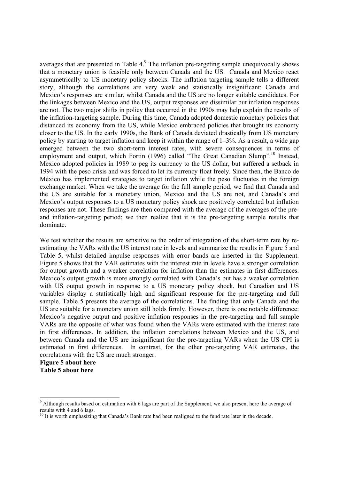averages that are presented in Table  $4.9$  The inflation pre-targeting sample unequivocally shows that a monetary union is feasible only between Canada and the US. Canada and Mexico react asymmetrically to US monetary policy shocks. The inflation targeting sample tells a different story, although the correlations are very weak and statistically insignificant: Canada and Mexico's responses are similar, whilst Canada and the US are no longer suitable candidates. For the linkages between Mexico and the US, output responses are dissimilar but inflation responses are not. The two major shifts in policy that occurred in the 1990s may help explain the results of the inflation-targeting sample. During this time, Canada adopted domestic monetary policies that distanced its economy from the US, while Mexico embraced policies that brought its economy closer to the US. In the early 1990s, the Bank of Canada deviated drastically from US monetary policy by starting to target inflation and keep it within the range of 1–3%. As a result, a wide gap emerged between the two short-term interest rates, with severe consequences in terms of employment and output, which Fortin (1996) called "The Great Canadian Slump".<sup>10</sup> Instead, Mexico adopted policies in 1989 to peg its currency to the US dollar, but suffered a setback in 1994 with the peso crisis and was forced to let its currency float freely. Since then, the Banco de México has implemented strategies to target inflation while the peso fluctuates in the foreign exchange market. When we take the average for the full sample period, we find that Canada and the US are suitable for a monetary union, Mexico and the US are not, and Canada's and Mexico's output responses to a US monetary policy shock are positively correlated but inflation responses are not. These findings are then compared with the average of the averages of the preand inflation-targeting period; we then realize that it is the pre-targeting sample results that dominate.

We test whether the results are sensitive to the order of integration of the short-term rate by reestimating the VARs with the US interest rate in levels and summarize the results in Figure 5 and Table 5, whilst detailed impulse responses with error bands are inserted in the Supplement. Figure 5 shows that the VAR estimates with the interest rate in levels have a stronger correlation for output growth and a weaker correlation for inflation than the estimates in first differences. Mexico's output growth is more strongly correlated with Canada's but has a weaker correlation with US output growth in response to a US monetary policy shock, but Canadian and US variables display a statistically high and significant response for the pre-targeting and full sample. Table 5 presents the average of the correlations. The finding that only Canada and the US are suitable for a monetary union still holds firmly. However, there is one notable difference: Mexico's negative output and positive inflation responses in the pre-targeting and full sample VARs are the opposite of what was found when the VARs were estimated with the interest rate in first differences. In addition, the inflation correlations between Mexico and the US, and between Canada and the US are insignificant for the pre-targeting VARs when the US CPI is estimated in first differences. In contrast, for the other pre-targeting VAR estimates, the correlations with the US are much stronger.

**Figure 5 about here Table 5 about here** 

-

<sup>&</sup>lt;sup>9</sup> Although results based on estimation with 6 lags are part of the Supplement, we also present here the average of results with 4 and 6 lags.

<sup>&</sup>lt;sup>10</sup> It is worth emphasizing that Canada's Bank rate had been realigned to the fund rate later in the decade.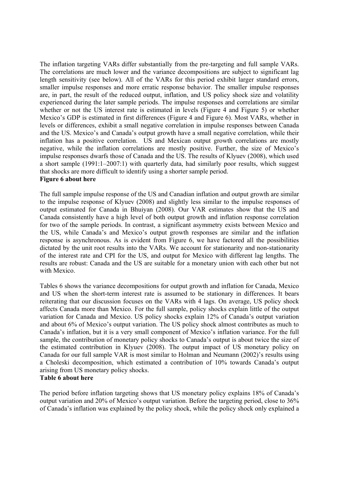The inflation targeting VARs differ substantially from the pre-targeting and full sample VARs. The correlations are much lower and the variance decompositions are subject to significant lag length sensitivity (see below). All of the VARs for this period exhibit larger standard errors, smaller impulse responses and more erratic response behavior. The smaller impulse responses are, in part, the result of the reduced output, inflation, and US policy shock size and volatility experienced during the later sample periods. The impulse responses and correlations are similar whether or not the US interest rate is estimated in levels (Figure 4 and Figure 5) or whether Mexico's GDP is estimated in first differences (Figure 4 and Figure 6). Most VARs, whether in levels or differences, exhibit a small negative correlation in impulse responses between Canada and the US. Mexico's and Canada's output growth have a small negative correlation, while their inflation has a positive correlation. US and Mexican output growth correlations are mostly negative, while the inflation correlations are mostly positive. Further, the size of Mexico's impulse responses dwarfs those of Canada and the US. The results of Klyuev (2008), which used a short sample (1991:1–2007:1) with quarterly data, had similarly poor results, which suggest that shocks are more difficult to identify using a shorter sample period. **Figure 6 about here** 

The full sample impulse response of the US and Canadian inflation and output growth are similar to the impulse response of Klyuev (2008) and slightly less similar to the impulse responses of output estimated for Canada in Bhuiyan (2008). Our VAR estimates show that the US and Canada consistently have a high level of both output growth and inflation response correlation for two of the sample periods. In contrast, a significant asymmetry exists between Mexico and the US, while Canada's and Mexico's output growth responses are similar and the inflation response is asynchronous. As is evident from Figure 6, we have factored all the possibilities dictated by the unit root results into the VARs. We account for stationarity and non-stationarity of the interest rate and CPI for the US, and output for Mexico with different lag lengths. The results are robust: Canada and the US are suitable for a monetary union with each other but not with Mexico.

Tables 6 shows the variance decompositions for output growth and inflation for Canada, Mexico and US when the short-term interest rate is assumed to be stationary in differences. It bears reiterating that our discussion focuses on the VARs with 4 lags. On average, US policy shock affects Canada more than Mexico. For the full sample, policy shocks explain little of the output variation for Canada and Mexico. US policy shocks explain 12% of Canada's output variation and about 6% of Mexico's output variation. The US policy shock almost contributes as much to Canada's inflation, but it is a very small component of Mexico's inflation variance. For the full sample, the contribution of monetary policy shocks to Canada's output is about twice the size of the estimated contribution in Klyuev (2008). The output impact of US monetary policy on Canada for our full sample VAR is most similar to Holman and Neumann (2002)'s results using a Choleski decomposition, which estimated a contribution of 10% towards Canada's output arising from US monetary policy shocks.

#### **Table 6 about here**

The period before inflation targeting shows that US monetary policy explains 18% of Canada's output variation and 20% of Mexico's output variation. Before the targeting period, close to 36% of Canada's inflation was explained by the policy shock, while the policy shock only explained a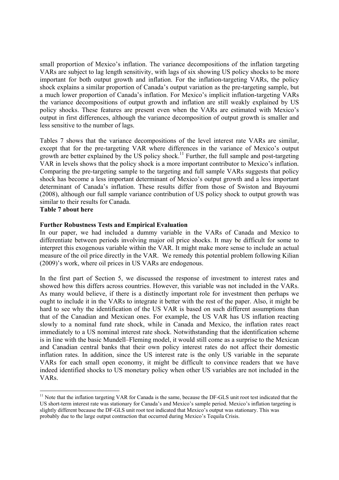small proportion of Mexico's inflation. The variance decompositions of the inflation targeting VARs are subject to lag length sensitivity, with lags of six showing US policy shocks to be more important for both output growth and inflation. For the inflation-targeting VARs, the policy shock explains a similar proportion of Canada's output variation as the pre-targeting sample, but a much lower proportion of Canada's inflation. For Mexico's implicit inflation-targeting VARs the variance decompositions of output growth and inflation are still weakly explained by US policy shocks. These features are present even when the VARs are estimated with Mexico's output in first differences, although the variance decomposition of output growth is smaller and less sensitive to the number of lags.

Tables 7 shows that the variance decompositions of the level interest rate VARs are similar, except that for the pre-targeting VAR where differences in the variance of Mexico's output growth are better explained by the US policy shock.<sup>11</sup> Further, the full sample and post-targeting VAR in levels shows that the policy shock is a more important contributor to Mexico's inflation. Comparing the pre-targeting sample to the targeting and full sample VARs suggests that policy shock has become a less important determinant of Mexico's output growth and a less important determinant of Canada's inflation. These results differ from those of Swiston and Bayoumi (2008), although our full sample variance contribution of US policy shock to output growth was similar to their results for Canada.

#### **Table 7 about here**

-

#### **Further Robustness Tests and Empirical Evaluation**

In our paper, we had included a dummy variable in the VARs of Canada and Mexico to differentiate between periods involving major oil price shocks. It may be difficult for some to interpret this exogenous variable within the VAR. It might make more sense to include an actual measure of the oil price directly in the VAR. We remedy this potential problem following Kilian (2009)'s work, where oil prices in US VARs are endogenous.

In the first part of Section 5, we discussed the response of investment to interest rates and showed how this differs across countries. However, this variable was not included in the VARs. As many would believe, if there is a distinctly important role for investment then perhaps we ought to include it in the VARs to integrate it better with the rest of the paper. Also, it might be hard to see why the identification of the US VAR is based on such different assumptions than that of the Canadian and Mexican ones. For example, the US VAR has US inflation reacting slowly to a nominal fund rate shock, while in Canada and Mexico, the inflation rates react immediately to a US nominal interest rate shock. Notwithstanding that the identification scheme is in line with the basic Mundell–Fleming model, it would still come as a surprise to the Mexican and Canadian central banks that their own policy interest rates do not affect their domestic inflation rates. In addition, since the US interest rate is the only US variable in the separate VARs for each small open economy, it might be difficult to convince readers that we have indeed identified shocks to US monetary policy when other US variables are not included in the VARs.

<sup>&</sup>lt;sup>11</sup> Note that the inflation targeting VAR for Canada is the same, because the DF-GLS unit root test indicated that the US short-term interest rate was stationary for Canada's and Mexico's sample period. Mexico's inflation targeting is slightly different because the DF-GLS unit root test indicated that Mexico's output was stationary. This was probably due to the large output contraction that occurred during Mexico's Tequila Crisis.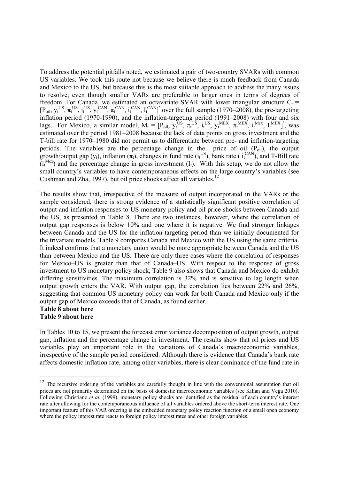To address the potential pitfalls noted, we estimated a pair of two-country SVARs with common US variables. We took this route not because we believe there is much feedback from Canada and Mexico to the US, but because this is the most suitable approach to address the many issues to resolve, even though smaller VARs are preferable to larger ones in terms of degrees of freedom. For Canada, we estimated an octavariate SVAR with lower triangular structure  $C_t$  =  $[P_{oil}$ ,  $y_t^{US}$ ,  $\pi_t^{US}$ ,  $i_t^{CAN}$ ,  $\pi_t^{CAN}$ ,  $i_t^{CAN}$ ,  $I_t^{CAN}$  over the full sample (1970–2008), the pre-targeting inflation period (1970-1990), and the inflation-targeting period (1991–2008) with four and six lags. For Mexico, a similar model,  $M_t = [P_{oil}, y_t^{US}, \pi_t^{US}, i_t^{US}, y_t^{MEX}, \pi_t^{MEX}, i_t^{MEX}, i_t^{MEX}]$ , was estimated over the period 1981–2008 because the lack of data points on gross investment and the T-bill rate for 1970–1980 did not permit us to differentiate between pre- and inflation-targeting periods. The variables are the percentage change in the price of oil  $(P_{oil})$ , the output growth/output gap (y<sub>t</sub>), inflation ( $\pi$ <sub>t</sub>), changes in fund rate (i<sub>t</sub><sup>US</sup>), bank rate (i<sub>t</sub><sup>CAN</sup>), and T-Bill rate  $(i_t^{Mex})$  and the percentage change in gross investment  $(I_t)$ . With this setup, we do not allow the small country's variables to have contemporaneous effects on the large country's variables (see Cushman and Zha, 1997), but oil price shocks affect all variables.<sup>12</sup>

The results show that, irrespective of the measure of output incorporated in the VARs or the sample considered, there is strong evidence of a statistically significant positive correlation of output and inflation responses to US monetary policy and oil price shocks between Canada and the US, as presented in Table 8. There are two instances, however, where the correlation of output gap responses is below 10% and one where it is negative. We find stronger linkages between Canada and the US for the inflation-targeting period than we initially documented for the trivariate models. Table 9 compares Canada and Mexico with the US using the same criteria. It indeed confirms that a monetary union would be more appropriate between Canada and the US than between Mexico and the US. There are only three cases where the correlation of responses for Mexico–US is greater than that of Canada–US. With respect to the response of gross investment to US monetary policy shock, Table 9 also shows that Canada and Mexico do exhibit differing sensitivities. The maximum correlation is 32% and is sensitive to lag length when output growth enters the VAR. With output gap, the correlation lies between 22% and 26%, suggesting that common US monetary policy can work for both Canada and Mexico only if the output gap of Mexico exceeds that of Canada, as found earlier.

#### **Table 8 about here Table 9 about here**

 $\overline{\phantom{a}}$ 

In Tables 10 to 15, we present the forecast error variance decomposition of output growth, output gap, inflation and the percentage change in investment. The results show that oil prices and US variables play an important role in the variations of Canada's macroeconomic variables, irrespective of the sample period considered. Although there is evidence that Canada's bank rate affects domestic inflation rate, among other variables, there is clear dominance of the fund rate in

 $12$  The recursive ordering of the variables are carefully thought in line with the conventional assumption that oil prices are not primarily determined on the basis of domestic macroeconomic variables (see Kilian and Vega 2010). Following Christiano *et al.* (1999), monetary policy shocks are identified as the residual of each country's interest rate after allowing for the contemporaneous influence of all variables ordered above the short-term interest rate. One important feature of this VAR ordering is the embedded monetary policy reaction function of a small open economy where the policy interest rate reacts to foreign policy interest rates and other foreign variables.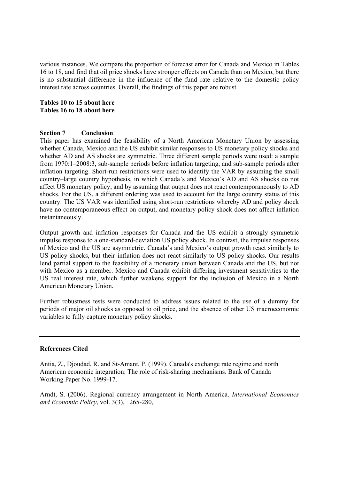various instances. We compare the proportion of forecast error for Canada and Mexico in Tables 16 to 18, and find that oil price shocks have stronger effects on Canada than on Mexico, but there is no substantial difference in the influence of the fund rate relative to the domestic policy interest rate across countries. Overall, the findings of this paper are robust.

#### **Tables 10 to 15 about here Tables 16 to 18 about here**

#### **Section 7 Conclusion**

This paper has examined the feasibility of a North American Monetary Union by assessing whether Canada, Mexico and the US exhibit similar responses to US monetary policy shocks and whether AD and AS shocks are symmetric. Three different sample periods were used: a sample from 1970:1–2008:3, sub-sample periods before inflation targeting, and sub-sample periods after inflation targeting. Short-run restrictions were used to identify the VAR by assuming the small country–large country hypothesis, in which Canada's and Mexico's AD and AS shocks do not affect US monetary policy, and by assuming that output does not react contemporaneously to AD shocks. For the US, a different ordering was used to account for the large country status of this country. The US VAR was identified using short-run restrictions whereby AD and policy shock have no contemporaneous effect on output, and monetary policy shock does not affect inflation instantaneously.

Output growth and inflation responses for Canada and the US exhibit a strongly symmetric impulse response to a one-standard-deviation US policy shock. In contrast, the impulse responses of Mexico and the US are asymmetric. Canada's and Mexico's output growth react similarly to US policy shocks, but their inflation does not react similarly to US policy shocks. Our results lend partial support to the feasibility of a monetary union between Canada and the US, but not with Mexico as a member. Mexico and Canada exhibit differing investment sensitivities to the US real interest rate, which further weakens support for the inclusion of Mexico in a North American Monetary Union.

Further robustness tests were conducted to address issues related to the use of a dummy for periods of major oil shocks as opposed to oil price, and the absence of other US macroeconomic variables to fully capture monetary policy shocks.

#### **References Cited**

Antia, Z., Djoudad, R. and St-Amant, P. (1999). Canada's exchange rate regime and north American economic integration: The role of risk-sharing mechanisms. Bank of Canada Working Paper No. 1999-17.

Arndt, S. (2006). Regional currency arrangement in North America. *International Economics and Economic Policy*, vol. 3(3), 265-280,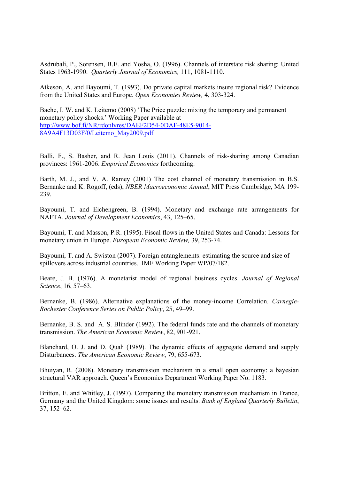Asdrubali, P., Sorensen, B.E. and Yosha, O. (1996). Channels of interstate risk sharing: United States 1963-1990. *Quarterly Journal of Economics,* 111, 1081-1110.

Atkeson, A. and Bayoumi, T. (1993). Do private capital markets insure regional risk? Evidence from the United States and Europe. *Open Economies Review,* 4, 303-324.

Bache, I. W. and K. Leitemo (2008) 'The Price puzzle: mixing the temporary and permanent monetary policy shocks.' Working Paper available at http://www.bof.fi/NR/rdonlyres/DAEF2D54-0DAF-48E5-9014- 8A9A4F13D03F/0/Leitemo\_May2009.pdf

Balli, F., S. Basher, and R. Jean Louis (2011). Channels of risk-sharing among Canadian provinces: 1961-2006. *Empirical Economics* forthcoming.

Barth, M. J., and V. A. Ramey (2001) The cost channel of monetary transmission in B.S. Bernanke and K. Rogoff, (eds), *NBER Macroeconomic Annual*, MIT Press Cambridge, MA 199- 239.

Bayoumi, T. and Eichengreen, B. (1994). Monetary and exchange rate arrangements for NAFTA. *Journal of Development Economics*, 43, 125–65.

Bayoumi, T. and Masson, P.R. (1995). Fiscal flows in the United States and Canada: Lessons for monetary union in Europe. *European Economic Review,* 39, 253-74.

Bayoumi, T. and A. Swiston (2007). Foreign entanglements: estimating the source and size of spillovers across industrial countries. IMF Working Paper WP/07/182.

Beare, J. B. (1976). A monetarist model of regional business cycles. *Journal of Regional Science*, 16, 57–63.

Bernanke, B. (1986). Alternative explanations of the money-income Correlation. *Carnegie-Rochester Conference Series on Public Policy*, 25, 49–99.

Bernanke, B. S. and A. S. Blinder (1992). The federal funds rate and the channels of monetary transmission. *The American Economic Review*, 82, 901-921.

Blanchard, O. J. and D. Quah (1989). The dynamic effects of aggregate demand and supply Disturbances. *The American Economic Review*, 79, 655-673.

Bhuiyan, R. (2008). Monetary transmission mechanism in a small open economy: a bayesian structural VAR approach. Queen's Economics Department Working Paper No. 1183.

Britton, E. and Whitley, J. (1997). Comparing the monetary transmission mechanism in France, Germany and the United Kingdom: some issues and results. *Bank of England Quarterly Bulletin*, 37, 152–62.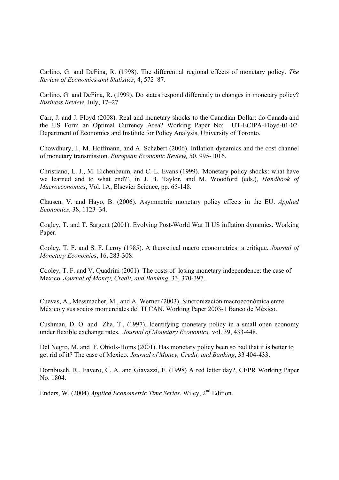Carlino, G. and DeFina, R. (1998). The differential regional effects of monetary policy. *The Review of Economics and Statistics*, 4, 572–87.

Carlino, G. and DeFina, R. (1999). Do states respond differently to changes in monetary policy? *Business Review*, July, 17–27

Carr, J. and J. Floyd (2008). Real and monetary shocks to the Canadian Dollar: do Canada and the US Form an Optimal Currency Area? Working Paper No: UT-ECIPA-Floyd-01-02. Department of Economics and Institute for Policy Analysis, University of Toronto.

Chowdhury, I., M. Hoffmann, and A. Schabert (2006). Inflation dynamics and the cost channel of monetary transmission. *European Economic Review,* 50, 995-1016.

Christiano, L. J., M. Eichenbaum, and C. L. Evans (1999). 'Monetary policy shocks: what have we learned and to what end?', in J. B. Taylor, and M. Woodford (eds.), *Handbook of Macroeconomics*, Vol. 1A, Elsevier Science, pp. 65-148.

Clausen, V. and Hayo, B. (2006). Asymmetric monetary policy effects in the EU. *Applied Economics*, 38, 1123–34.

Cogley, T. and T. Sargent (2001). Evolving Post-World War II US inflation dynamics. Working Paper.

Cooley, T. F. and S. F. Leroy (1985). A theoretical macro econometrics: a critique. *Journal of Monetary Economics*, 16, 283-308.

Cooley, T. F. and V. Quadrini (2001). The costs of losing monetary independence: the case of Mexico. *Journal of Money, Credit, and Banking.* 33, 370-397.

Cuevas, A., Messmacher, M., and A. Werner (2003). Sincronización macroeconómica entre México y sus socios momerciales del TLCAN. Working Paper 2003-1 Banco de México.

Cushman, D. O. and Zha, T., (1997). Identifying monetary policy in a small open economy under flexible exchange rates. *Journal of Monetary Economics,* vol. 39, 433-448.

Del Negro, M. and F. Obiols-Homs (2001). Has monetary policy been so bad that it is better to get rid of it? The case of Mexico. *Journal of Money, Credit, and Banking*, 33 404-433.

Dornbusch, R., Favero, C. A. and Giavazzi, F. (1998) A red letter day?, CEPR Working Paper No. 1804.

Enders, W. (2004) *Applied Econometric Time Series*. Wiley, 2nd Edition.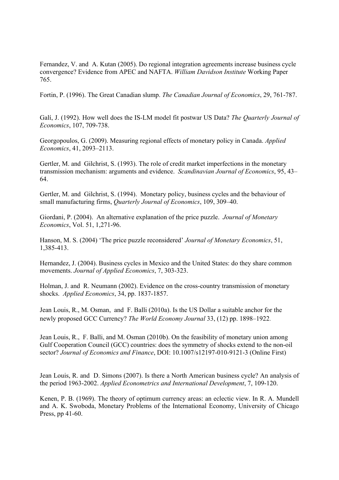Fernandez, V. and A. Kutan (2005). Do regional integration agreements increase business cycle convergence? Evidence from APEC and NAFTA. *William Davidson Institute* Working Paper 765.

Fortin, P. (1996). The Great Canadian slump. *The Canadian Journal of Economics*, 29, 761-787.

Galí, J. (1992). How well does the IS-LM model fit postwar US Data? *The Quarterly Journal of Economics*, 107, 709-738.

Georgopoulos, G. (2009). Measuring regional effects of monetary policy in Canada. *Applied Economics*, 41, 2093–2113.

Gertler, M. and Gilchrist, S. (1993). The role of credit market imperfections in the monetary transmission mechanism: arguments and evidence. *Scandinavian Journal of Economics*, 95, 43– 64.

Gertler, M. and Gilchrist, S. (1994). Monetary policy, business cycles and the behaviour of small manufacturing firms, *Quarterly Journal of Economics*, 109, 309–40.

Giordani, P. (2004). An alternative explanation of the price puzzle. *Journal of Monetary Economics*, Vol. 51, 1,271-96.

Hanson, M. S. (2004) 'The price puzzle reconsidered' *Journal of Monetary Economics*, 51, 1,385-413.

Hernandez, J. (2004). Business cycles in Mexico and the United States: do they share common movements. *Journal of Applied Economics*, 7, 303-323.

Holman, J. and R. Neumann (2002). Evidence on the cross-country transmission of monetary shocks. *Applied Economics*, 34, pp. 1837-1857.

Jean Louis, R., M. Osman, and F. Balli (2010a). Is the US Dollar a suitable anchor for the newly proposed GCC Currency? *The World Economy Journal* 33, (12) pp. 1898–1922.

Jean Louis, R., F. Balli, and M. Osman (2010b). On the feasibility of monetary union among Gulf Cooperation Council (GCC) countries: does the symmetry of shocks extend to the non-oil sector? *Journal of Economics and Finance*, DOI: 10.1007/s12197-010-9121-3 (Online First)

Jean Louis, R. and D. Simons (2007). Is there a North American business cycle? An analysis of the period 1963-2002. *Applied Econometrics and International Development*, 7, 109-120.

Kenen, P. B. (1969). The theory of optimum currency areas: an eclectic view. In R. A. Mundell and A. K. Swoboda, Monetary Problems of the International Economy, University of Chicago Press, pp 41-60.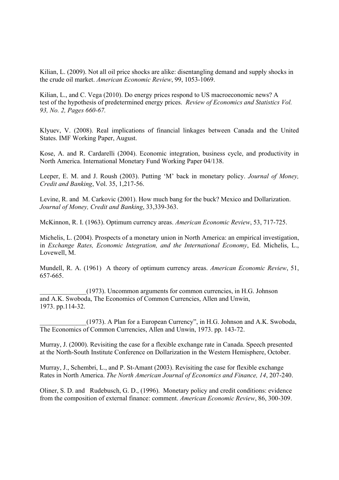Kilian, L. (2009). Not all oil price shocks are alike: disentangling demand and supply shocks in the crude oil market. *American Economic Review*, 99, 1053-1069.

Kilian, L., and C. Vega (2010). Do energy prices respond to US macroeconomic news? A test of the hypothesis of predetermined energy prices. *Review of Economics and Statistics Vol. 93, No. 2, Pages 660-67.* 

Klyuev, V. (2008). Real implications of financial linkages between Canada and the United States. IMF Working Paper, August.

Kose, A. and R. Cardarelli (2004). Economic integration, business cycle, and productivity in North America. International Monetary Fund Working Paper 04/138.

Leeper, E. M. and J. Roush (2003). Putting 'M' back in monetary policy. *Journal of Money, Credit and Banking*, Vol. 35, 1,217-56.

Levine, R. and M. Carkovic (2001). How much bang for the buck? Mexico and Dollarization. *Journal of Money, Credit and Banking*, 33,339-363.

McKinnon, R. I. (1963). Optimum currency areas. *American Economic Review*, 53, 717-725.

Michelis, L. (2004). Prospects of a monetary union in North America: an empirical investigation, in *Exchange Rates, Economic Integration, and the International Economy*, Ed. Michelis, L., Lovewell, M.

Mundell, R. A. (1961) A theory of optimum currency areas. *American Economic Review*, 51, 657-665.

\_\_\_\_\_\_\_\_\_\_\_\_\_\_(1973). Uncommon arguments for common currencies, in H.G. Johnson and A.K. Swoboda, The Economics of Common Currencies, Allen and Unwin, 1973. pp.114-32.

\_\_\_\_\_\_\_\_\_\_\_\_\_\_(1973). A Plan for a European Currency", in H.G. Johnson and A.K. Swoboda, The Economics of Common Currencies, Allen and Unwin, 1973. pp. 143-72.

Murray, J. (2000). Revisiting the case for a flexible exchange rate in Canada. Speech presented at the North-South Institute Conference on Dollarization in the Western Hemisphere, October.

Murray, J., Schembri, L., and P. St-Amant (2003). Revisiting the case for flexible exchange Rates in North America. *The North American Journal of Economics and Finance, 14*, 207-240.

Oliner, S. D. and Rudebusch, G. D., (1996). Monetary policy and credit conditions: evidence from the composition of external finance: comment. *American Economic Review*, 86, 300-309.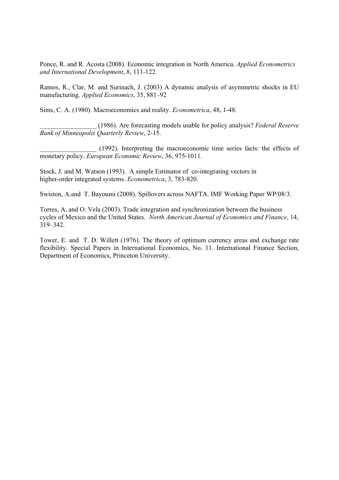Ponce, R. and R. Acosta (2008). Economic integration in North America. *Applied Econometrics and International Development*, 8, 111-122.

Ramos, R., Clar, M. and Surinach, J. (2003) A dynamic analysis of asymmetric shocks in EU manufacturing. *Applied Economics*, 35, 881–92

Sims, C. A. (1980). Macroeconomics and reality. *Econometrica*, 48, 1-48.

\_\_\_\_\_\_\_\_\_\_\_\_\_\_\_\_\_ (1986). Are forecasting models usable for policy analysis? *Federal Reserve Bank of Minneapolis Quarterly Review*, 2-15.

\_\_\_\_\_\_\_\_\_\_\_\_\_\_\_\_\_ (1992). Interpreting the macroeconomic time series facts: the effects of monetary policy. *European Economic Review*, 36, 975-1011.

Stock, J. and M. Watson (1993). A simple Estimator of co-integrating vectors in higher-order integrated systems. *Econometrica*, 3, 783-820.

Swiston, A.and T. Bayoumi (2008). Spillovers across NAFTA. IMF Working Paper WP/08/3.

Torres, A. and O. Vela (2003). Trade integration and synchronization between the business cycles of Mexico and the United States. *North American Journal of Economics and Finance*, 14, 319–342.

Tower, E. and T. D. Willett (1976). The theory of optimum currency areas and exchange rate flexibility. Special Papers in International Economics, No. 11. International Finance Section, Department of Economics, Princeton University.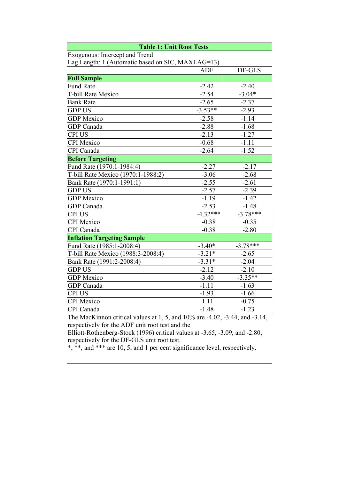| <b>Table 1: Unit Root Tests</b>                                             |            |            |  |  |  |  |
|-----------------------------------------------------------------------------|------------|------------|--|--|--|--|
| Exogenous: Intercept and Trend                                              |            |            |  |  |  |  |
| Lag Length: 1 (Automatic based on SIC, MAXLAG=13)                           |            |            |  |  |  |  |
|                                                                             | <b>ADF</b> | DF-GLS     |  |  |  |  |
| <b>Full Sample</b>                                                          |            |            |  |  |  |  |
| <b>Fund Rate</b>                                                            | $-2.42$    | $-2.40$    |  |  |  |  |
| T-bill Rate Mexico                                                          | $-2.54$    | $-3.04*$   |  |  |  |  |
| <b>Bank Rate</b>                                                            | $-2.65$    | $-2.37$    |  |  |  |  |
| <b>GDP US</b>                                                               | $-3.53**$  | $-2.93$    |  |  |  |  |
| <b>GDP</b> Mexico                                                           | $-2.58$    | $-1.14$    |  |  |  |  |
| <b>GDP</b> Canada                                                           | $-2.88$    | $-1.68$    |  |  |  |  |
| <b>CPI US</b>                                                               | $-2.13$    | $-1.27$    |  |  |  |  |
| <b>CPI</b> Mexico                                                           | $-0.68$    | $-1.11$    |  |  |  |  |
| CPI Canada                                                                  | $-2.64$    | $-1.52$    |  |  |  |  |
| <b>Before Targeting</b>                                                     |            |            |  |  |  |  |
| Fund Rate (1970:1-1984:4)                                                   | $-2.27$    | $-2.17$    |  |  |  |  |
| T-bill Rate Mexico (1970:1-1988:2)                                          | $-3.06$    | $-2.68$    |  |  |  |  |
| Bank Rate (1970:1-1991:1)                                                   | $-2.55$    | $-2.61$    |  |  |  |  |
| <b>GDP US</b>                                                               | $-2.57$    | $-2.39$    |  |  |  |  |
| <b>GDP</b> Mexico                                                           | $-1.19$    | $-1.42$    |  |  |  |  |
| GDP Canada                                                                  | $-2.53$    | $-1.48$    |  |  |  |  |
| <b>CPI US</b>                                                               | $-4.32***$ | $-3.78***$ |  |  |  |  |
| <b>CPI</b> Mexico                                                           | $-0.38$    | $-0.35$    |  |  |  |  |
| CPI Canada                                                                  | $-0.38$    | $-2.80$    |  |  |  |  |
| <b>Inflation Targeting Sample</b>                                           |            |            |  |  |  |  |
| Fund Rate (1985:1-2008:4)                                                   | $-3.40*$   | $-3.78***$ |  |  |  |  |
| T-bill Rate Mexico (1988:3-2008:4)                                          | $-3.21*$   | $-2.65$    |  |  |  |  |
| Bank Rate (1991:2-2008:4)                                                   | $-3.31*$   | $-2.04$    |  |  |  |  |
| <b>GDP US</b>                                                               | $-2.12$    | $-2.10$    |  |  |  |  |
| <b>GDP</b> Mexico                                                           | $-3.40$    | $-3.35**$  |  |  |  |  |
| GDP Canada                                                                  | $-1.11$    | $-1.63$    |  |  |  |  |
| <b>CPI US</b>                                                               | $-1.93$    | $-1.66$    |  |  |  |  |
| <b>CPI</b> Mexico                                                           | 1.11       | $-0.75$    |  |  |  |  |
| CPI Canada                                                                  | $-1.48$    | $-1.23$    |  |  |  |  |
| The MacKinnon critical values at 1, 5, and 10% are -4.02, -3.44, and -3.14, |            |            |  |  |  |  |
| respectively for the ADF unit root test and the                             |            |            |  |  |  |  |
| Elliott-Rothenberg-Stock (1996) critical values at -3.65, -3.09, and -2.80, |            |            |  |  |  |  |
| respectively for the DF-GLS unit root test.                                 |            |            |  |  |  |  |
| *, **, and *** are 10, 5, and 1 per cent significance level, respectively.  |            |            |  |  |  |  |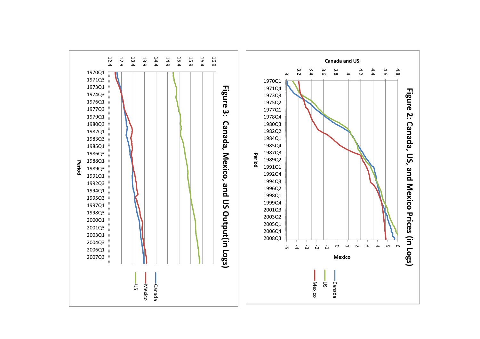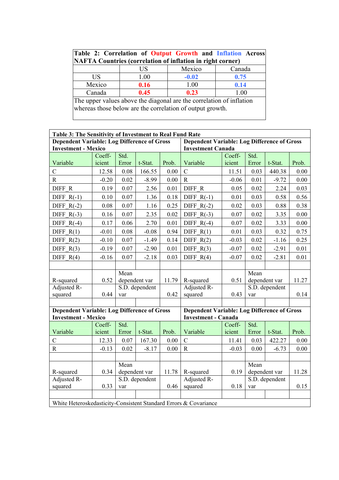| Table 2: Correlation of Output Growth and Inflation Across<br>NAFTA Countries (correlation of inflation in right corner) |      |                                                                                                                                                                                                                                  |      |  |  |  |  |  |  |
|--------------------------------------------------------------------------------------------------------------------------|------|----------------------------------------------------------------------------------------------------------------------------------------------------------------------------------------------------------------------------------|------|--|--|--|--|--|--|
| Mexico<br>Canada                                                                                                         |      |                                                                                                                                                                                                                                  |      |  |  |  |  |  |  |
| US                                                                                                                       | 1.00 | $-0.02$                                                                                                                                                                                                                          | 0.75 |  |  |  |  |  |  |
| Mexico                                                                                                                   | 0.16 | 1.00                                                                                                                                                                                                                             | 0.14 |  |  |  |  |  |  |
| 0.45<br>0.23<br>Canada<br>1.00                                                                                           |      |                                                                                                                                                                                                                                  |      |  |  |  |  |  |  |
| The upper values above the diagonal are the correlation of inflation                                                     |      | $\frac{1}{2}$ , and the contract of the contract of the contract of the contract of the contract of the contract of the contract of the contract of the contract of the contract of the contract of the contract of the contract |      |  |  |  |  |  |  |

whereas those below are the correlation of output growth.

|                                                                                  | Table 3: The Sensitivity of Investment to Real Fund Rate         |          |                |       |                                                                                  |         |                |                |       |
|----------------------------------------------------------------------------------|------------------------------------------------------------------|----------|----------------|-------|----------------------------------------------------------------------------------|---------|----------------|----------------|-------|
| <b>Dependent Variable: Log Difference of Gross</b><br><b>Investment - Mexico</b> |                                                                  |          |                |       | <b>Dependent Variable: Log Difference of Gross</b><br><b>Investment Canada</b>   |         |                |                |       |
|                                                                                  | Coeff-                                                           | Std.     |                |       |                                                                                  | Coeff-  | Std.           |                |       |
| Variable                                                                         | icient                                                           | Error    | t-Stat.        | Prob. | Variable                                                                         | icient  | Error          | t-Stat.        | Prob. |
| $\mathcal{C}$                                                                    | 12.58                                                            | 0.08     | 166.55         | 0.00  | $\mathcal{C}$                                                                    | 11.51   | 0.03           | 440.38         | 0.00  |
| $\mathbf R$                                                                      | $-0.20$                                                          | 0.02     | $-8.99$        | 0.00  | $\mathbf R$                                                                      | $-0.06$ | 0.01           | $-9.72$        | 0.00  |
| DIFF R                                                                           | 0.19                                                             | 0.07     | 2.56           | 0.01  | DIFF R                                                                           | 0.05    | 0.02           | 2.24           | 0.03  |
| $DIFF_R(-1)$                                                                     | 0.10                                                             | 0.07     | 1.36           | 0.18  | $DIFF_R(-1)$                                                                     | 0.01    | 0.03           | 0.58           | 0.56  |
| DIFF $R(-2)$                                                                     | 0.08                                                             | $0.07\,$ | 1.16           | 0.25  | DIFF $R(-2)$                                                                     | 0.02    | 0.03           | 0.88           | 0.38  |
| DIFF $R(-3)$                                                                     | 0.16                                                             | 0.07     | 2.35           | 0.02  | DIFF $R(-3)$                                                                     | 0.07    | 0.02           | 3.35           | 0.00  |
| DIFF $R(-4)$                                                                     | 0.17                                                             | 0.06     | 2.70           | 0.01  | DIFF $R(-4)$                                                                     | 0.07    | 0.02           | 3.33           | 0.00  |
| DIFF $R(1)$                                                                      | $-0.01$                                                          | 0.08     | $-0.08$        | 0.94  | $DIFF_R(1)$                                                                      | 0.01    | 0.03           | 0.32           | 0.75  |
| DIFF $R(2)$                                                                      | $-0.10$                                                          | $0.07\,$ | $-1.49$        | 0.14  | DIFF $R(2)$                                                                      | $-0.03$ | 0.02           | $-1.16$        | 0.25  |
| DIFF $R(3)$                                                                      | $-0.19$                                                          | 0.07     | $-2.90$        | 0.01  | DIFF $R(3)$                                                                      | $-0.07$ | 0.02           | $-2.91$        | 0.01  |
| DIFF $R(4)$                                                                      | $-0.16$                                                          | 0.07     | $-2.18$        | 0.03  | DIFF $R(4)$                                                                      | $-0.07$ | 0.02           | $-2.81$        | 0.01  |
|                                                                                  |                                                                  |          |                |       |                                                                                  |         |                |                |       |
|                                                                                  |                                                                  | Mean     |                |       |                                                                                  |         | Mean           |                |       |
| R-squared                                                                        | 0.52                                                             |          | dependent var  | 11.79 | R-squared                                                                        | 0.51    |                | dependent var  | 11.27 |
| Adjusted R-                                                                      |                                                                  |          | S.D. dependent |       | Adjusted $\overline{R}$ -                                                        |         | S.D. dependent |                |       |
| squared                                                                          | 0.44                                                             | var      |                | 0.42  | squared                                                                          | 0.43    | var            |                | 0.14  |
|                                                                                  |                                                                  |          |                |       |                                                                                  |         |                |                |       |
| <b>Dependent Variable: Log Difference of Gross</b><br><b>Investment - Mexico</b> |                                                                  |          |                |       | <b>Dependent Variable: Log Difference of Gross</b><br><b>Investment - Canada</b> |         |                |                |       |
|                                                                                  | Coeff-                                                           | Std.     |                |       |                                                                                  | Coeff-  | Std.           |                |       |
| Variable                                                                         | icient                                                           | Error    | t-Stat.        | Prob. | Variable                                                                         | icient  | Error          | t-Stat.        | Prob. |
| $\mathcal{C}$                                                                    | 12.33                                                            | 0.07     | 167.30         | 0.00  | $\overline{C}$                                                                   | 11.41   | 0.03           | 422.27         | 0.00  |
| $\mathbf R$                                                                      | $-0.13$                                                          | 0.02     | $-8.17$        | 0.00  | $\mathbf R$                                                                      | $-0.03$ | 0.00           | $-6.73$        | 0.00  |
|                                                                                  |                                                                  |          |                |       |                                                                                  |         |                |                |       |
| R-squared                                                                        | 0.34                                                             | Mean     | dependent var  | 11.78 | R-squared                                                                        | 0.19    | Mean           | dependent var  | 11.28 |
| Adjusted R-                                                                      |                                                                  |          | S.D. dependent |       | Adjusted R-                                                                      |         |                | S.D. dependent |       |
| squared                                                                          | 0.33                                                             | var      |                | 0.46  | squared                                                                          | 0.18    | var            |                | 0.15  |
|                                                                                  |                                                                  |          |                |       |                                                                                  |         |                |                |       |
|                                                                                  | White Heteroskedasticity-Consistent Standard Errors & Covariance |          |                |       |                                                                                  |         |                |                |       |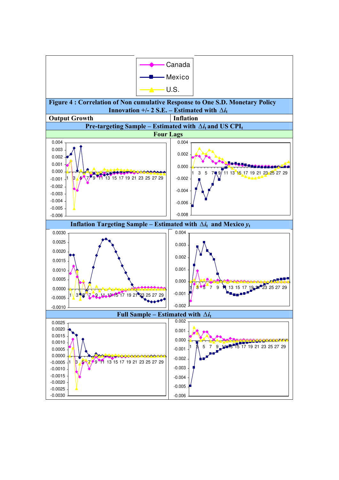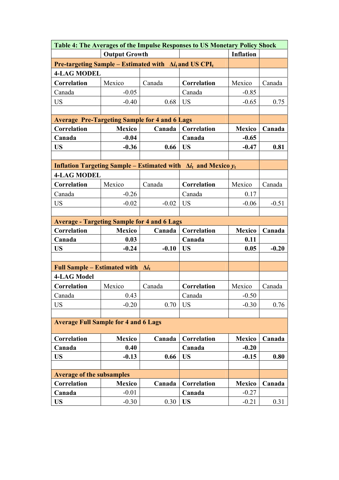| Table 4: The Averages of the Impulse Responses to US Monetary Policy Shock |                      |         |                                                                           |                  |         |  |  |
|----------------------------------------------------------------------------|----------------------|---------|---------------------------------------------------------------------------|------------------|---------|--|--|
|                                                                            | <b>Output Growth</b> |         |                                                                           | <b>Inflation</b> |         |  |  |
| Pre-targeting Sample – Estimated with $\Delta i_t$ and US CPI <sub>t</sub> |                      |         |                                                                           |                  |         |  |  |
| <b>4-LAG MODEL</b>                                                         |                      |         |                                                                           |                  |         |  |  |
| <b>Correlation</b>                                                         | Mexico               | Canada  | Correlation                                                               | Mexico           | Canada  |  |  |
| Canada                                                                     | $-0.05$              |         | Canada                                                                    | $-0.85$          |         |  |  |
| US                                                                         | $-0.40$              | 0.68    | <b>US</b>                                                                 | $-0.65$          | 0.75    |  |  |
|                                                                            |                      |         |                                                                           |                  |         |  |  |
| <b>Average Pre-Targeting Sample for 4 and 6 Lags</b>                       |                      |         |                                                                           |                  |         |  |  |
| Correlation                                                                | <b>Mexico</b>        | Canada  | Correlation                                                               | <b>Mexico</b>    | Canada  |  |  |
| Canada                                                                     | $-0.04$              |         | Canada                                                                    | $-0.65$          |         |  |  |
| <b>US</b>                                                                  | $-0.36$              | 0.66    | <b>US</b>                                                                 | $-0.47$          | 0.81    |  |  |
|                                                                            |                      |         |                                                                           |                  |         |  |  |
|                                                                            |                      |         | Inflation Targeting Sample – Estimated with $\Delta i_t$ and Mexico $y_t$ |                  |         |  |  |
| <b>4-LAG MODEL</b>                                                         |                      |         |                                                                           |                  |         |  |  |
| Correlation                                                                | Mexico               | Canada  | Correlation                                                               | Mexico           | Canada  |  |  |
| Canada                                                                     | $-0.26$              |         | Canada                                                                    | 0.17             |         |  |  |
| <b>US</b>                                                                  | $-0.02$              | $-0.02$ | <b>US</b>                                                                 | $-0.06$          | $-0.51$ |  |  |
|                                                                            |                      |         |                                                                           |                  |         |  |  |
| <b>Average - Targeting Sample for 4 and 6 Lags</b>                         |                      |         |                                                                           |                  |         |  |  |
| Correlation                                                                | <b>Mexico</b>        | Canada  | Correlation                                                               | <b>Mexico</b>    | Canada  |  |  |
| Canada                                                                     | 0.03                 |         | Canada                                                                    | 0.11             |         |  |  |
| <b>US</b>                                                                  | $-0.24$              | $-0.10$ | <b>US</b>                                                                 | 0.05             | $-0.20$ |  |  |
|                                                                            |                      |         |                                                                           |                  |         |  |  |
| Full Sample – Estimated with $\Delta i_t$                                  |                      |         |                                                                           |                  |         |  |  |
| <b>4-LAG Model</b>                                                         |                      |         |                                                                           |                  |         |  |  |
| Correlation                                                                | Mexico               | Canada  | Correlation                                                               | Mexico           | Canada  |  |  |
| Canada                                                                     | 0.43                 |         | Canada                                                                    | $-0.50$          |         |  |  |
| <b>US</b>                                                                  | $-0.20$              | 0.70    | <b>US</b>                                                                 | $-0.30$          | 0.76    |  |  |
|                                                                            |                      |         |                                                                           |                  |         |  |  |
| <b>Average Full Sample for 4 and 6 Lags</b>                                |                      |         |                                                                           |                  |         |  |  |
| Correlation                                                                | <b>Mexico</b>        | Canada  | Correlation                                                               | <b>Mexico</b>    | Canada  |  |  |
| Canada                                                                     | 0.40                 |         | Canada                                                                    | $-0.20$          |         |  |  |
| <b>US</b>                                                                  | $-0.13$              | 0.66    | <b>US</b>                                                                 | $-0.15$          | 0.80    |  |  |
|                                                                            |                      |         |                                                                           |                  |         |  |  |
| <b>Average of the subsamples</b>                                           |                      |         |                                                                           |                  |         |  |  |
| Correlation                                                                | <b>Mexico</b>        | Canada  | Correlation                                                               | <b>Mexico</b>    | Canada  |  |  |
| Canada                                                                     | $-0.01$              |         | Canada                                                                    | $-0.27$          |         |  |  |
| <b>US</b>                                                                  | $-0.30$              | 0.30    | <b>US</b>                                                                 | $-0.21$          | 0.31    |  |  |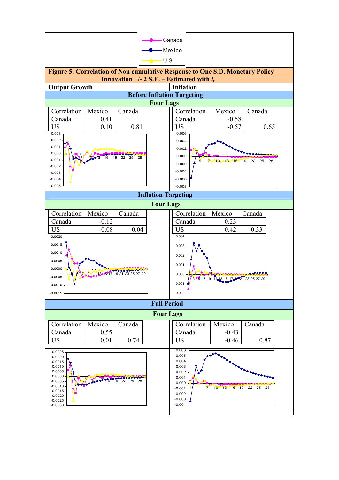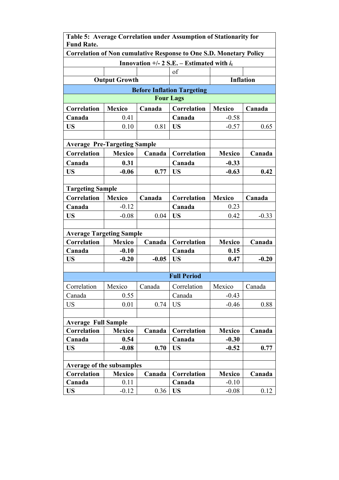|                                                                    |               |         | Table 5: Average Correlation under Assumption of Stationarity for |               |         |  |  |  |  |
|--------------------------------------------------------------------|---------------|---------|-------------------------------------------------------------------|---------------|---------|--|--|--|--|
| <b>Fund Rate.</b>                                                  |               |         |                                                                   |               |         |  |  |  |  |
| Correlation of Non cumulative Response to One S.D. Monetary Policy |               |         |                                                                   |               |         |  |  |  |  |
| Innovation $+/- 2$ S.E. – Estimated with $i_t$                     |               |         |                                                                   |               |         |  |  |  |  |
|                                                                    |               |         | of                                                                |               |         |  |  |  |  |
| <b>Inflation</b><br><b>Output Growth</b>                           |               |         |                                                                   |               |         |  |  |  |  |
|                                                                    |               |         | <b>Before Inflation Targeting</b><br><b>Four Lags</b>             |               |         |  |  |  |  |
|                                                                    |               |         |                                                                   |               |         |  |  |  |  |
| Correlation                                                        | <b>Mexico</b> | Canada  | Correlation                                                       | <b>Mexico</b> | Canada  |  |  |  |  |
| Canada                                                             | 0.41          |         | Canada                                                            | $-0.58$       |         |  |  |  |  |
| <b>US</b>                                                          | 0.10          | 0.81    | US                                                                | $-0.57$       | 0.65    |  |  |  |  |
|                                                                    |               |         |                                                                   |               |         |  |  |  |  |
| <b>Average Pre-Targeting Sample</b>                                |               |         |                                                                   |               |         |  |  |  |  |
| Correlation                                                        | <b>Mexico</b> | Canada  | Correlation                                                       | <b>Mexico</b> | Canada  |  |  |  |  |
| Canada                                                             | 0.31          |         | Canada                                                            | $-0.33$       |         |  |  |  |  |
| <b>US</b>                                                          | $-0.06$       | 0.77    | <b>US</b>                                                         | $-0.63$       | 0.42    |  |  |  |  |
|                                                                    |               |         |                                                                   |               |         |  |  |  |  |
| <b>Targeting Sample</b>                                            |               |         |                                                                   |               |         |  |  |  |  |
| Correlation                                                        | <b>Mexico</b> | Canada  | Correlation                                                       | <b>Mexico</b> | Canada  |  |  |  |  |
| Canada                                                             | $-0.12$       |         | Canada                                                            | 0.23          |         |  |  |  |  |
| <b>US</b>                                                          | $-0.08$       | 0.04    | <b>US</b>                                                         | 0.42          | $-0.33$ |  |  |  |  |
|                                                                    |               |         |                                                                   |               |         |  |  |  |  |
| <b>Average Targeting Sample</b>                                    |               |         |                                                                   |               |         |  |  |  |  |
| Correlation                                                        | <b>Mexico</b> | Canada  | Correlation                                                       | <b>Mexico</b> | Canada  |  |  |  |  |
| Canada                                                             | $-0.10$       |         | Canada                                                            | 0.15          |         |  |  |  |  |
| <b>US</b>                                                          | $-0.20$       | $-0.05$ | <b>US</b>                                                         | 0.47          | $-0.20$ |  |  |  |  |
|                                                                    |               |         | <b>Full Period</b>                                                |               |         |  |  |  |  |
|                                                                    |               |         |                                                                   |               |         |  |  |  |  |
| Correlation                                                        | Mexico        | Canada  | Correlation                                                       | Mexico        | Canada  |  |  |  |  |
| Canada                                                             | 0.55          |         | Canada                                                            | $-0.43$       |         |  |  |  |  |
| US                                                                 | 0.01          | 0.74    | US.                                                               | $-0.46$       | 0.88    |  |  |  |  |
| <b>Average Full Sample</b>                                         |               |         |                                                                   |               |         |  |  |  |  |
| Correlation                                                        | <b>Mexico</b> | Canada  | Correlation                                                       | <b>Mexico</b> | Canada  |  |  |  |  |
| Canada                                                             | 0.54          |         | Canada                                                            | $-0.30$       |         |  |  |  |  |
| <b>US</b>                                                          | $-0.08$       | 0.70    | US                                                                | $-0.52$       | 0.77    |  |  |  |  |
|                                                                    |               |         |                                                                   |               |         |  |  |  |  |
| <b>Average of the subsamples</b>                                   |               |         |                                                                   |               |         |  |  |  |  |
| Correlation                                                        | <b>Mexico</b> | Canada  | Correlation                                                       | <b>Mexico</b> | Canada  |  |  |  |  |
| Canada                                                             | 0.11          |         | Canada                                                            | $-0.10$       |         |  |  |  |  |
| <b>US</b>                                                          | $-0.12$       | 0.36    | <b>US</b>                                                         | $-0.08$       | 0.12    |  |  |  |  |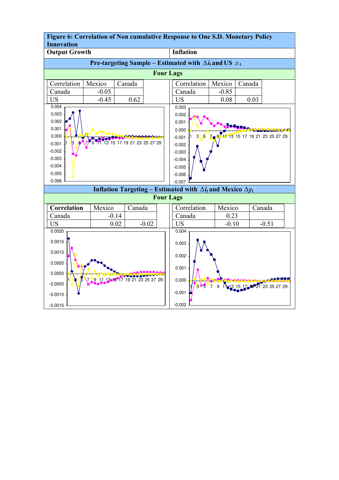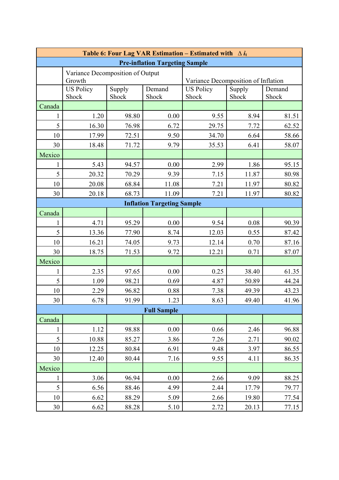| Table 6: Four Lag VAR Estimation – Estimated with $\Delta i_t$ |                  |        |                    |                                     |        |        |  |  |  |
|----------------------------------------------------------------|------------------|--------|--------------------|-------------------------------------|--------|--------|--|--|--|
| <b>Pre-inflation Targeting Sample</b>                          |                  |        |                    |                                     |        |        |  |  |  |
| Variance Decomposition of Output                               |                  |        |                    |                                     |        |        |  |  |  |
|                                                                | Growth           |        |                    | Variance Decomposition of Inflation |        |        |  |  |  |
|                                                                | <b>US Policy</b> | Supply | Demand             | <b>US Policy</b>                    | Supply | Demand |  |  |  |
|                                                                | Shock            | Shock  | Shock              | Shock                               | Shock  | Shock  |  |  |  |
| Canada                                                         |                  |        |                    |                                     |        |        |  |  |  |
| 1                                                              | 1.20             | 98.80  | 0.00               | 9.55                                | 8.94   | 81.51  |  |  |  |
| 5                                                              | 16.30            | 76.98  | 6.72               | 29.75                               | 7.72   | 62.52  |  |  |  |
| 10                                                             | 17.99            | 72.51  | 9.50               | 34.70                               | 6.64   | 58.66  |  |  |  |
| 30                                                             | 18.48            | 71.72  | 9.79               | 35.53                               | 6.41   | 58.07  |  |  |  |
| Mexico                                                         |                  |        |                    |                                     |        |        |  |  |  |
| 1                                                              | 5.43             | 94.57  | 0.00               | 2.99                                | 1.86   | 95.15  |  |  |  |
| 5                                                              | 20.32            | 70.29  | 9.39               | 7.15                                | 11.87  | 80.98  |  |  |  |
| 10                                                             | 20.08            | 68.84  | 11.08              | 7.21                                | 11.97  | 80.82  |  |  |  |
| 30                                                             | 20.18            | 68.73  | 11.09              | 7.21                                | 11.97  | 80.82  |  |  |  |
| <b>Inflation Targeting Sample</b>                              |                  |        |                    |                                     |        |        |  |  |  |
| Canada                                                         |                  |        |                    |                                     |        |        |  |  |  |
| 1                                                              | 4.71             | 95.29  | 0.00               | 9.54                                | 0.08   | 90.39  |  |  |  |
| 5                                                              | 13.36            | 77.90  | 8.74               | 12.03                               | 0.55   | 87.42  |  |  |  |
| 10                                                             | 16.21            | 74.05  | 9.73               | 12.14                               | 0.70   | 87.16  |  |  |  |
| 30                                                             | 18.75            | 71.53  | 9.72               | 12.21                               | 0.71   | 87.07  |  |  |  |
| Mexico                                                         |                  |        |                    |                                     |        |        |  |  |  |
| 1                                                              | 2.35             | 97.65  | 0.00               | 0.25                                | 38.40  | 61.35  |  |  |  |
| 5                                                              | 1.09             | 98.21  | 0.69               | 4.87                                | 50.89  | 44.24  |  |  |  |
| 10                                                             | 2.29             | 96.82  | 0.88               | 7.38                                | 49.39  | 43.23  |  |  |  |
| 30                                                             | 6.78             | 91.99  | 1.23               | 8.63                                | 49.40  | 41.96  |  |  |  |
|                                                                |                  |        | <b>Full Sample</b> |                                     |        |        |  |  |  |
| Canada                                                         |                  |        |                    |                                     |        |        |  |  |  |
| 1                                                              | 1.12             | 98.88  | 0.00               | 0.66                                | 2.46   | 96.88  |  |  |  |
| 5                                                              | 10.88            | 85.27  | 3.86               | 7.26                                | 2.71   | 90.02  |  |  |  |
| 10                                                             | 12.25            | 80.84  | 6.91               | 9.48                                | 3.97   | 86.55  |  |  |  |
| 30                                                             | 12.40            | 80.44  | 7.16               | 9.55                                | 4.11   | 86.35  |  |  |  |
| Mexico                                                         |                  |        |                    |                                     |        |        |  |  |  |
| 1                                                              | 3.06             | 96.94  | 0.00               | 2.66                                | 9.09   | 88.25  |  |  |  |
| 5                                                              | 6.56             | 88.46  | 4.99               | 2.44                                | 17.79  | 79.77  |  |  |  |
| 10                                                             | 6.62             | 88.29  | 5.09               | 2.66                                | 19.80  | 77.54  |  |  |  |
| 30                                                             | 6.62             | 88.28  | 5.10               | 2.72                                | 20.13  | 77.15  |  |  |  |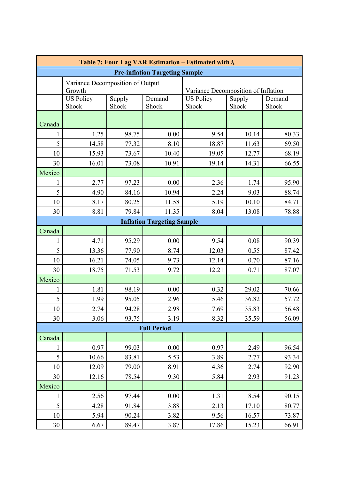| Table 7: Four Lag VAR Estimation – Estimated with $i_t$ |                                       |        |                    |                                     |        |        |  |  |  |
|---------------------------------------------------------|---------------------------------------|--------|--------------------|-------------------------------------|--------|--------|--|--|--|
|                                                         | <b>Pre-inflation Targeting Sample</b> |        |                    |                                     |        |        |  |  |  |
|                                                         | Variance Decomposition of Output      |        |                    |                                     |        |        |  |  |  |
|                                                         | Growth                                |        |                    | Variance Decomposition of Inflation |        |        |  |  |  |
|                                                         | <b>US Policy</b>                      | Supply | Demand             | <b>US Policy</b>                    | Supply | Demand |  |  |  |
|                                                         | Shock                                 | Shock  | Shock              | Shock                               | Shock  | Shock  |  |  |  |
| Canada                                                  |                                       |        |                    |                                     |        |        |  |  |  |
| 1                                                       | 1.25                                  | 98.75  | 0.00               | 9.54                                | 10.14  | 80.33  |  |  |  |
| 5                                                       | 14.58                                 | 77.32  | 8.10               | 18.87                               | 11.63  | 69.50  |  |  |  |
| 10                                                      | 15.93                                 | 73.67  | 10.40              | 19.05                               | 12.77  | 68.19  |  |  |  |
| 30                                                      | 16.01                                 | 73.08  | 10.91              | 19.14                               | 14.31  | 66.55  |  |  |  |
| Mexico                                                  |                                       |        |                    |                                     |        |        |  |  |  |
| 1                                                       | 2.77                                  | 97.23  | 0.00               | 2.36                                | 1.74   | 95.90  |  |  |  |
| 5                                                       | 4.90                                  | 84.16  | 10.94              | 2.24                                | 9.03   | 88.74  |  |  |  |
| 10                                                      | 8.17                                  | 80.25  | 11.58              | 5.19                                | 10.10  | 84.71  |  |  |  |
| 30                                                      | 8.81                                  | 79.84  | 11.35              | 8.04                                | 13.08  | 78.88  |  |  |  |
| <b>Inflation Targeting Sample</b>                       |                                       |        |                    |                                     |        |        |  |  |  |
| Canada                                                  |                                       |        |                    |                                     |        |        |  |  |  |
| 1                                                       | 4.71                                  | 95.29  | 0.00               | 9.54                                | 0.08   | 90.39  |  |  |  |
| 5                                                       | 13.36                                 | 77.90  | 8.74               | 12.03                               | 0.55   | 87.42  |  |  |  |
| 10                                                      | 16.21                                 | 74.05  | 9.73               | 12.14                               | 0.70   | 87.16  |  |  |  |
| 30                                                      | 18.75                                 | 71.53  | 9.72               | 12.21                               | 0.71   | 87.07  |  |  |  |
| Mexico                                                  |                                       |        |                    |                                     |        |        |  |  |  |
| 1                                                       | 1.81                                  | 98.19  | 0.00               | 0.32                                | 29.02  | 70.66  |  |  |  |
| 5                                                       | 1.99                                  | 95.05  | 2.96               | 5.46                                | 36.82  | 57.72  |  |  |  |
| 10                                                      | 2.74                                  | 94.28  | 2.98               | 7.69                                | 35.83  | 56.48  |  |  |  |
| 30                                                      | 3.06                                  | 93.75  | 3.19               | 8.32                                | 35.59  | 56.09  |  |  |  |
|                                                         |                                       |        | <b>Full Period</b> |                                     |        |        |  |  |  |
| Canada                                                  |                                       |        |                    |                                     |        |        |  |  |  |
| $\mathbf{1}$                                            | 0.97                                  | 99.03  | 0.00               | 0.97                                | 2.49   | 96.54  |  |  |  |
| 5                                                       | 10.66                                 | 83.81  | 5.53               | 3.89                                | 2.77   | 93.34  |  |  |  |
| 10                                                      | 12.09                                 | 79.00  | 8.91               | 4.36                                | 2.74   | 92.90  |  |  |  |
| 30                                                      | 12.16                                 | 78.54  | 9.30               | 5.84                                | 2.93   | 91.23  |  |  |  |
| Mexico                                                  |                                       |        |                    |                                     |        |        |  |  |  |
| $\mathbf{1}$                                            | 2.56                                  | 97.44  | 0.00               | 1.31                                | 8.54   | 90.15  |  |  |  |
| 5                                                       | 4.28                                  | 91.84  | 3.88               | 2.13                                | 17.10  | 80.77  |  |  |  |
| 10                                                      | 5.94                                  | 90.24  | 3.82               | 9.56                                | 16.57  | 73.87  |  |  |  |
| 30                                                      | 6.67                                  | 89.47  | 3.87               | 17.86                               | 15.23  | 66.91  |  |  |  |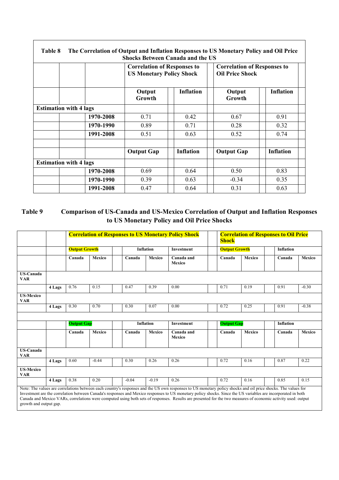|                               | <b>Correlation of Responses to</b><br><b>US Monetary Policy Shock</b> |                  | <b>Correlation of Responses to</b><br><b>Oil Price Shock</b> |                  |  |
|-------------------------------|-----------------------------------------------------------------------|------------------|--------------------------------------------------------------|------------------|--|
|                               | Output<br>Growth                                                      | <b>Inflation</b> | Output<br>Growth                                             | <b>Inflation</b> |  |
| <b>Estimation with 4 lags</b> |                                                                       |                  |                                                              |                  |  |
| 1970-2008                     | 0.71                                                                  | 0.42             | 0.67                                                         | 0.91             |  |
| 1970-1990                     | 0.89                                                                  | 0.71             | 0.28                                                         | 0.32             |  |
| 1991-2008                     | 0.51                                                                  | 0.63             | 0.52                                                         | 0.74             |  |
|                               | <b>Output Gap</b>                                                     | <b>Inflation</b> | <b>Output Gap</b>                                            | <b>Inflation</b> |  |
| <b>Estimation with 4 lags</b> |                                                                       |                  |                                                              |                  |  |
| 1970-2008                     | 0.69                                                                  | 0.64             | 0.50                                                         | 0.83             |  |
| 1970-1990                     | 0.39                                                                  | 0.63             | $-0.34$                                                      | 0.35             |  |
| 1991-2008                     | 0.47                                                                  | 0.64             | 0.31                                                         | 0.63             |  |

# **Table 9 Comparison of US-Canada and US-Mexico Correlation of Output and Inflation Responses to US Monetary Policy and Oil Price Shocks**

|                                |        | <b>Correlation of Responses to US Monetary Policy Shock</b> |               |         |                  |                                                                                                                                                                                                                                                                                                                                                                                                                                                                                                | <b>Shock</b>         |        | <b>Correlation of Responses to Oil Price</b> |         |  |
|--------------------------------|--------|-------------------------------------------------------------|---------------|---------|------------------|------------------------------------------------------------------------------------------------------------------------------------------------------------------------------------------------------------------------------------------------------------------------------------------------------------------------------------------------------------------------------------------------------------------------------------------------------------------------------------------------|----------------------|--------|----------------------------------------------|---------|--|
|                                |        | <b>Output Growth</b>                                        |               |         | <b>Inflation</b> | Investment                                                                                                                                                                                                                                                                                                                                                                                                                                                                                     | <b>Output Growth</b> |        | <b>Inflation</b>                             |         |  |
|                                |        | Canada                                                      | Mexico        | Canada  | Mexico           | Canada and<br>Mexico                                                                                                                                                                                                                                                                                                                                                                                                                                                                           | Canada               | Mexico | Canada                                       | Mexico  |  |
| <b>US-Canada</b><br><b>VAR</b> |        |                                                             |               |         |                  |                                                                                                                                                                                                                                                                                                                                                                                                                                                                                                |                      |        |                                              |         |  |
|                                | 4 Lags | 0.76                                                        | 0.15          | 0.47    | 0.39             | 0.00                                                                                                                                                                                                                                                                                                                                                                                                                                                                                           | 0.71                 | 0.19   | 0.91                                         | $-0.30$ |  |
| <b>US-Mexico</b><br><b>VAR</b> |        |                                                             |               |         |                  |                                                                                                                                                                                                                                                                                                                                                                                                                                                                                                |                      |        |                                              |         |  |
|                                | 4 Lags | 0.30                                                        | 0.70          | 0.30    | 0.07             | 0.00                                                                                                                                                                                                                                                                                                                                                                                                                                                                                           | 0.72                 | 0.25   | 0.91                                         | $-0.38$ |  |
|                                |        |                                                             |               |         |                  |                                                                                                                                                                                                                                                                                                                                                                                                                                                                                                |                      |        |                                              |         |  |
|                                |        | <b>Output Gap</b>                                           |               |         | <b>Inflation</b> | Investment                                                                                                                                                                                                                                                                                                                                                                                                                                                                                     | <b>Output Gap</b>    |        | <b>Inflation</b>                             |         |  |
|                                |        | Canada                                                      | <b>Mexico</b> | Canada  | Mexico           | Canada and<br>Mexico                                                                                                                                                                                                                                                                                                                                                                                                                                                                           | Canada               | Mexico | Canada                                       | Mexico  |  |
| <b>US-Canada</b><br><b>VAR</b> |        |                                                             |               |         |                  |                                                                                                                                                                                                                                                                                                                                                                                                                                                                                                |                      |        |                                              |         |  |
|                                | 4 Lags | 0.60                                                        | $-0.44$       | 0.30    | 0.26             | 0.26                                                                                                                                                                                                                                                                                                                                                                                                                                                                                           | 0.72                 | 0.16   | 0.87                                         | 0.22    |  |
| <b>US-Mexico</b><br><b>VAR</b> |        |                                                             |               |         |                  |                                                                                                                                                                                                                                                                                                                                                                                                                                                                                                |                      |        |                                              |         |  |
|                                | 4 Lags | 0.38                                                        | 0.20          | $-0.04$ | $-0.19$          | 0.26                                                                                                                                                                                                                                                                                                                                                                                                                                                                                           | 0.72                 | 0.16   | 0.85                                         | 0.15    |  |
| growth and output gap.         |        |                                                             |               |         |                  | Note: The values are correlations between each country's responses and the US own responses to US monetary policy shocks and oil price shocks. The values for<br>Investment are the correlation between Canada's responses and Mexico responses to US monetary policy shocks. Since the US variables are incorporated in both<br>Canada and Mexico VARs, correlations were computed using both sets of responses. Results are presented for the two measures of economic activity used: output |                      |        |                                              |         |  |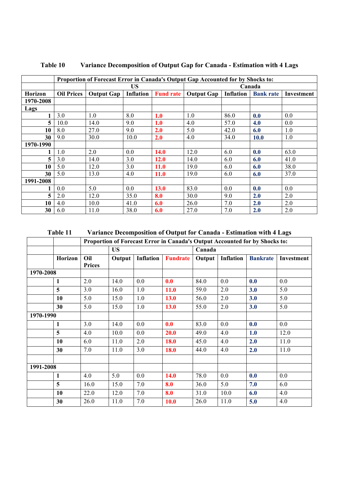|                | Proportion of Forecast Error in Canada's Output Gap Accounted for by Shocks to: |                   |                  |                  |                   |                  |                  |            |  |
|----------------|---------------------------------------------------------------------------------|-------------------|------------------|------------------|-------------------|------------------|------------------|------------|--|
|                |                                                                                 |                   | US               |                  | Canada            |                  |                  |            |  |
| <b>Horizon</b> | <b>Oil Prices</b>                                                               | <b>Output Gap</b> | <b>Inflation</b> | <b>Fund rate</b> | <b>Output Gap</b> | <b>Inflation</b> | <b>Bank rate</b> | Investment |  |
| 1970-2008      |                                                                                 |                   |                  |                  |                   |                  |                  |            |  |
| Lags           |                                                                                 |                   |                  |                  |                   |                  |                  |            |  |
|                | 3.0                                                                             | 1.0               | 8.0              | 1.0              | 1.0               | 86.0             | 0.0              | 0.0        |  |
| 5              | 10.0                                                                            | 14.0              | 9.0              | 1.0              | 4.0               | 57.0             | 4.0              | 0.0        |  |
| 10             | 8.0                                                                             | 27.0              | 9.0              | 2.0              | 5.0               | 42.0             | 6.0              | 1.0        |  |
| 30             | 9.0                                                                             | 30.0              | 10.0             | 2.0              | 4.0               | 34.0             | 10.0             | 1.0        |  |
| 1970-1990      |                                                                                 |                   |                  |                  |                   |                  |                  |            |  |
|                | 1.0                                                                             | 2.0               | 0.0              | 14.0             | 12.0              | 6.0              | 0.0              | 63.0       |  |
| 5.             | 3.0                                                                             | 14.0              | 3.0              | <b>12.0</b>      | 14.0              | 6.0              | 6.0              | 41.0       |  |
| 10             | 5.0                                                                             | 12.0              | 3.0              | <b>11.0</b>      | 19.0              | 6.0              | 6.0              | 38.0       |  |
| 30             | 5.0                                                                             | 13.0              | 4.0              | <b>11.0</b>      | 19.0              | 6.0              | 6.0              | 37.0       |  |
| 1991-2008      |                                                                                 |                   |                  |                  |                   |                  |                  |            |  |
|                | 0.0                                                                             | 5.0               | 0.0              | 13.0             | 83.0              | 0.0              | 0.0              | 0.0        |  |
| 5              | 2.0                                                                             | 12.0              | 35.0             | 8.0              | 30.0              | 9.0              | 2.0              | 2.0        |  |
| 10             | 4.0                                                                             | 10.0              | 41.0             | 6.0              | 26.0              | 7.0              | 2.0              | 2.0        |  |
| 30             | 6.0                                                                             | 11.0              | 38.0             | 6.0              | 27.0              | 7.0              | 2.0              | 2.0        |  |

**Table 10 Variance Decomposition of Output Gap for Canada - Estimation with 4 Lags** 

| Table 11 | Variance Decomposition of Output for Canada - Estimation with 4 Lags |  |
|----------|----------------------------------------------------------------------|--|
|          |                                                                      |  |

|           |              |                      | Proportion of Forecast Error in Canada's Output Accounted for by Shocks to: |                  |                 |        |                  |                 |            |  |  |  |  |  |  |  |
|-----------|--------------|----------------------|-----------------------------------------------------------------------------|------------------|-----------------|--------|------------------|-----------------|------------|--|--|--|--|--|--|--|
|           |              |                      | <b>US</b>                                                                   |                  |                 | Canada |                  |                 |            |  |  |  |  |  |  |  |
|           | Horizon      | Oil<br><b>Prices</b> | Output                                                                      | <b>Inflation</b> | <b>Fundrate</b> | Output | <b>Inflation</b> | <b>Bankrate</b> | Investment |  |  |  |  |  |  |  |
| 1970-2008 |              |                      |                                                                             |                  |                 |        |                  |                 |            |  |  |  |  |  |  |  |
|           | $\mathbf{1}$ | 2.0                  | 14.0                                                                        | 0.0              | 0.0             | 84.0   | 0.0              | 0.0             | 0.0        |  |  |  |  |  |  |  |
|           | 5            | 3.0                  | 16.0                                                                        | 1.0              | 11.0            | 59.0   | 2.0              | 3.0             | 5.0        |  |  |  |  |  |  |  |
|           | 5.0<br>10    |                      | 15.0                                                                        | 1.0              | 13.0            | 56.0   | 2.0              | 3.0             | 5.0        |  |  |  |  |  |  |  |
|           | 30           | 5.0                  | 15.0                                                                        | 1.0              | 13.0            | 55.0   | 2.0              | 3.0             | 5.0        |  |  |  |  |  |  |  |
| 1970-1990 |              |                      |                                                                             |                  |                 |        |                  |                 |            |  |  |  |  |  |  |  |
|           | $\mathbf{1}$ | 3.0                  | 14.0                                                                        | 0.0<br>0.0       | 0.0             | 83.0   | 0.0<br>4.0       | 0.0             | 0.0        |  |  |  |  |  |  |  |
|           | 5            | 4.0                  | 10.0                                                                        |                  | 20.0            | 49.0   |                  | 1.0             | 12.0       |  |  |  |  |  |  |  |
|           | 10           | 6.0                  | 11.0                                                                        | 2.0              | <b>18.0</b>     | 45.0   | 4.0              | 2.0             | 11.0       |  |  |  |  |  |  |  |
|           | 30           | 7.0                  | 11.0                                                                        | 3.0              | 18.0            | 44.0   | 4.0              | 2.0             | 11.0       |  |  |  |  |  |  |  |
| 1991-2008 |              |                      |                                                                             |                  |                 |        |                  |                 |            |  |  |  |  |  |  |  |
|           | $\mathbf{1}$ | 4.0                  | 5.0                                                                         | 0.0              | 14.0            | 78.0   | 0.0              | 0.0             | 0.0        |  |  |  |  |  |  |  |
|           | 5            | 16.0<br>7.0<br>15.0  |                                                                             | 8.0              | 36.0            | 5.0    | 7.0              | 6.0             |            |  |  |  |  |  |  |  |
|           | 10           | 7.0<br>22.0<br>12.0  |                                                                             | 8.0              | 31.0<br>10.0    |        | 6.0              | 4.0             |            |  |  |  |  |  |  |  |
|           | 30           | 26.0                 | 11.0                                                                        | 7.0              | 10.0            | 26.0   | 11.0             | 5.0             | 4.0        |  |  |  |  |  |  |  |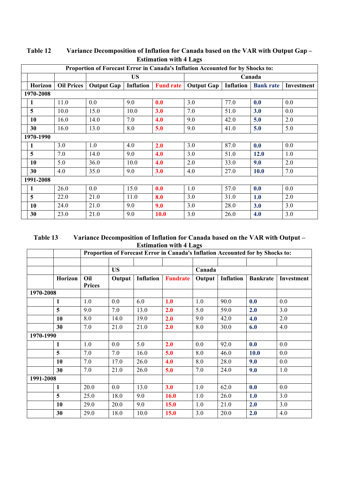| Proportion of Forecast Error in Canada's Inflation Accounted for by Shocks to: |                   |                   |                  |                  |                   |                  |                  |            |  |  |  |  |  |  |
|--------------------------------------------------------------------------------|-------------------|-------------------|------------------|------------------|-------------------|------------------|------------------|------------|--|--|--|--|--|--|
|                                                                                |                   |                   | <b>US</b>        |                  |                   |                  | Canada           |            |  |  |  |  |  |  |
| Horizon                                                                        | <b>Oil Prices</b> | <b>Output Gap</b> | <b>Inflation</b> | <b>Fund rate</b> | <b>Output Gap</b> | <b>Inflation</b> | <b>Bank rate</b> | Investment |  |  |  |  |  |  |
| 1970-2008                                                                      |                   |                   |                  |                  |                   |                  |                  |            |  |  |  |  |  |  |
| 1                                                                              | 11.0              | 0.0               | 9.0              | 0.0              | 3.0               | 77.0             | 0.0              | 0.0        |  |  |  |  |  |  |
| 5                                                                              | 10.0              | 15.0              | 10.0             | 3.0              | 7.0               | 51.0             | 3.0              | 0.0        |  |  |  |  |  |  |
| 10                                                                             | 16.0              | 14.0              | 7.0              | 4.0              | 9.0               | 42.0             | 5.0              | 2.0        |  |  |  |  |  |  |
| 30                                                                             | 16.0              | 13.0              | 8.0              | 5.0              | 9.0               | 41.0             | 5.0              | 5.0        |  |  |  |  |  |  |
| 1970-1990                                                                      |                   |                   |                  |                  |                   |                  |                  |            |  |  |  |  |  |  |
| 1                                                                              | 3.0               | 1.0               | 4.0              | 2.0              | 3.0               | 87.0             | 0.0              | 0.0        |  |  |  |  |  |  |
| 5                                                                              | 7.0               | 14.0              | 9.0              | 4.0              | 3.0               | 51.0             | 12.0             | 1.0        |  |  |  |  |  |  |
| 10                                                                             | 5.0               | 36.0              | 10.0             | 4.0              | 2.0               | 33.0             | 9.0              | 2.0        |  |  |  |  |  |  |
| 30                                                                             | 4.0               | 35.0              | 9.0              | 3.0              | 4.0               | 27.0             | <b>10.0</b>      | 7.0        |  |  |  |  |  |  |
| 1991-2008                                                                      |                   |                   |                  |                  |                   |                  |                  |            |  |  |  |  |  |  |
| 1                                                                              | 26.0              | 0.0               | 15.0             | 0.0              | 1.0               | 57.0             | 0.0              | 0.0        |  |  |  |  |  |  |
| 5                                                                              | 22.0              | 21.0              | 11.0             | 8.0              | 3.0               | 31.0             | 1.0              | 2.0        |  |  |  |  |  |  |
| 10                                                                             | 21.0<br>24.0      |                   | 9.0              | 9.0              | 3.0               | 28.0             | 3.0              | 3.0        |  |  |  |  |  |  |
| 30                                                                             | 23.0              | 21.0              | 9.0              | <b>10.0</b>      | 3.0               | 26.0             | 4.0              | 3.0        |  |  |  |  |  |  |

**Table 12 Variance Decomposition of Inflation for Canada based on the VAR with Output Gap – Estimation with 4 Lags** 

**Table 13 Variance Decomposition of Inflation for Canada based on the VAR with Output – Estimation with 4 Lags**

|              |         |                      | Proportion of Forecast Error in Canada's Inflation Accounted for by Shocks to: |                  |                 |        |                  |                 |            |  |  |  |  |  |  |  |
|--------------|---------|----------------------|--------------------------------------------------------------------------------|------------------|-----------------|--------|------------------|-----------------|------------|--|--|--|--|--|--|--|
|              |         |                      | <b>US</b>                                                                      |                  |                 | Canada |                  |                 |            |  |  |  |  |  |  |  |
|              | Horizon | Oil<br><b>Prices</b> | Output                                                                         | <b>Inflation</b> | <b>Fundrate</b> | Output | <b>Inflation</b> | <b>Bankrate</b> | Investment |  |  |  |  |  |  |  |
| 1970-2008    |         |                      |                                                                                |                  |                 |        |                  |                 |            |  |  |  |  |  |  |  |
| 1            |         | 1.0                  | 0.0                                                                            | 6.0              | 1.0             | 1.0    | 90.0             | 0.0             | 0.0        |  |  |  |  |  |  |  |
| 5            |         | 9.0                  | 7.0                                                                            | 13.0             | 2.0             | 5.0    | 59.0             | 2.0             | 3.0        |  |  |  |  |  |  |  |
| 10           |         | 8.0                  | 14.0                                                                           | 19.0             | 2.0             | 9.0    | 42.0             | 4.0             | 2.0        |  |  |  |  |  |  |  |
| 30           |         | 7.0                  | 21.0                                                                           | 21.0             | 2.0             | 8.0    | 30.0             | 6.0             | 4.0        |  |  |  |  |  |  |  |
| 1970-1990    |         |                      |                                                                                |                  |                 |        |                  |                 |            |  |  |  |  |  |  |  |
| 1            |         | 1.0                  | 0.0                                                                            | 5.0              | 2.0             | 0.0    | 92.0             | 0.0             | 0.0        |  |  |  |  |  |  |  |
| 5            |         | 7.0                  | 7.0                                                                            | 16.0             | 5.0             | 8.0    | 46.0             | <b>10.0</b>     | 0.0        |  |  |  |  |  |  |  |
| 10           |         | 7.0                  | 17.0                                                                           | 26.0             | 4.0             | 8.0    | 28.0             | 9.0             | 0.0        |  |  |  |  |  |  |  |
| 30           |         | 7.0                  | 21.0                                                                           | 26.0             | 5.0             | 7.0    | 24.0             | 9.0             | 1.0        |  |  |  |  |  |  |  |
| 1991-2008    |         |                      |                                                                                |                  |                 |        |                  |                 |            |  |  |  |  |  |  |  |
| $\mathbf{1}$ |         | 20.0                 | 0.0                                                                            | 13.0             | 3.0             | 1.0    | 62.0             | 0.0             | 0.0        |  |  |  |  |  |  |  |
| 5            |         | 25.0<br>18.0<br>9.0  |                                                                                | 16.0             | 1.0             | 26.0   | 1.0              | 3.0             |            |  |  |  |  |  |  |  |
| 10           |         | 29.0                 | 20.0                                                                           | 9.0              | 15.0            | 1.0    | 21.0             | 2.0             | 3.0        |  |  |  |  |  |  |  |
| 30           |         | 29.0                 | 18.0                                                                           | 10.0             | 15.0            | 3.0    | 20.0             | 2.0             | 4.0        |  |  |  |  |  |  |  |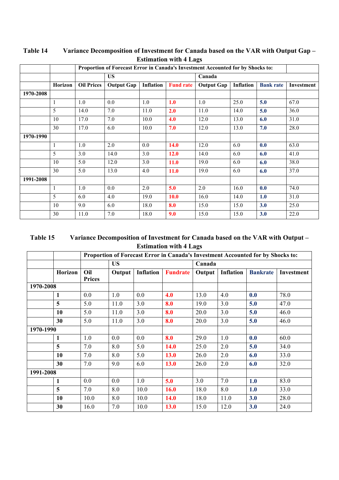|           |                |                   | Proportion of Forecast Error in Canada's Investment Accounted for by Shocks to: |                  |                  |                   |                  |                  |            |
|-----------|----------------|-------------------|---------------------------------------------------------------------------------|------------------|------------------|-------------------|------------------|------------------|------------|
|           |                |                   | <b>US</b>                                                                       |                  |                  | Canada            |                  |                  |            |
|           | <b>Horizon</b> | <b>Oil Prices</b> | <b>Output Gap</b>                                                               | <b>Inflation</b> | <b>Fund rate</b> | <b>Output Gap</b> | <b>Inflation</b> | <b>Bank</b> rate | Investment |
| 1970-2008 |                |                   |                                                                                 |                  |                  |                   |                  |                  |            |
|           |                | 1.0               | 0.0                                                                             | 1.0              | 1.0              | 1.0               | 25.0             | 5.0              | 67.0       |
|           | 5              | 14.0              | 7.0                                                                             | 11.0             | 2.0              | 11.0              | 14.0             | 5.0              | 36.0       |
|           | 10             | 17.0              | 7.0                                                                             | 10.0             | 4.0              | 12.0              | 13.0             | 6.0              | 31.0       |
|           | 30             | 17.0              | 6.0                                                                             | 10.0             | 7.0              | 12.0              | 13.0             | 7.0              | 28.0       |
| 1970-1990 |                |                   |                                                                                 |                  |                  |                   |                  |                  |            |
|           |                | 1.0               | 2.0                                                                             | 0.0              | 14.0             | 12.0              | 6.0              | 0.0              | 63.0       |
|           | 5              | 3.0               | 14.0                                                                            | 3.0              | 12.0             | 14.0              | 6.0              | 6.0              | 41.0       |
|           | 10             | 5.0               | 12.0                                                                            | 3.0              | <b>11.0</b>      | 19.0              | 6.0              | 6.0              | 38.0       |
|           | 30             | 5.0               | 13.0                                                                            | 4.0              | 11.0             | 19.0              | 6.0              | 6.0              | 37.0       |
| 1991-2008 |                |                   |                                                                                 |                  |                  |                   |                  |                  |            |
|           |                | 1.0               | 0.0                                                                             | 2.0              | 5.0              | 2.0               | 16.0             | 0.0              | 74.0       |
|           | 5              | 6.0               | 4.0                                                                             | 19.0             | 10.0             | 16.0              | 14.0             | 1.0              | 31.0       |
|           | 10             | 9.0               | 6.0                                                                             | 18.0             | 8.0              | 15.0              | 15.0             | 3.0              | 25.0       |
|           | 30             | 11.0              | 7.0                                                                             | 18.0             | 9.0              | 15.0              | 15.0             | 3.0              | 22.0       |

**Table 14 Variance Decomposition of Investment for Canada based on the VAR with Output Gap – Estimation with 4 Lags**

## **Table 15 Variance Decomposition of Investment for Canada based on the VAR with Output – Estimation with 4 Lags**

|           |                |                    | <b>Proportion of Forecast Error in Canada's Investment Accounted for by Shocks to:</b> |                  |                 |        |                  |                 |            |  |  |  |  |  |  |  |
|-----------|----------------|--------------------|----------------------------------------------------------------------------------------|------------------|-----------------|--------|------------------|-----------------|------------|--|--|--|--|--|--|--|
|           |                |                    | <b>US</b>                                                                              |                  |                 | Canada |                  |                 |            |  |  |  |  |  |  |  |
|           | <b>Horizon</b> | Oil                | Output                                                                                 | <b>Inflation</b> | <b>Fundrate</b> | Output | <b>Inflation</b> | <b>Bankrate</b> | Investment |  |  |  |  |  |  |  |
|           |                | <b>Prices</b>      |                                                                                        |                  |                 |        |                  |                 |            |  |  |  |  |  |  |  |
| 1970-2008 |                |                    |                                                                                        |                  |                 |        |                  |                 |            |  |  |  |  |  |  |  |
|           | 1              | 0.0                | 1.0                                                                                    | 0.0              | 4.0             | 13.0   | 4.0              | 0.0             | 78.0       |  |  |  |  |  |  |  |
|           | 5              | 5.0                | 11.0                                                                                   | 3.0              | 8.0             | 19.0   | 3.0              | 5.0             | 47.0       |  |  |  |  |  |  |  |
|           | 10             | 5.0                | 11.0                                                                                   | 3.0              | 8.0             | 20.0   | 3.0              | 5.0             | 46.0       |  |  |  |  |  |  |  |
|           | 30             |                    | 11.0                                                                                   | 3.0              | 8.0             | 20.0   | 3.0              | 5.0             | 46.0       |  |  |  |  |  |  |  |
| 1970-1990 |                |                    |                                                                                        |                  |                 |        |                  |                 |            |  |  |  |  |  |  |  |
|           | 1              | 1.0                | 0.0                                                                                    | 0.0              | 8.0             | 29.0   | 1.0              | 0.0             | 60.0       |  |  |  |  |  |  |  |
|           | 5              | 7.0                | 8.0                                                                                    | 5.0              | 14.0            | 25.0   | 2.0              | 5.0             | 34.0       |  |  |  |  |  |  |  |
|           | 10             | 7.0                | 8.0                                                                                    | 5.0              | 13.0            | 26.0   | 2.0              | 6.0             | 33.0       |  |  |  |  |  |  |  |
|           | 30             | 7.0                | 9.0                                                                                    | 6.0              | 13.0            | 26.0   | 2.0              | 6.0             | 32.0       |  |  |  |  |  |  |  |
| 1991-2008 |                |                    |                                                                                        |                  |                 |        |                  |                 |            |  |  |  |  |  |  |  |
|           | 1              | 0.0                | 0.0                                                                                    | 1.0              | 5.0             | 3.0    | 7.0              | 1.0             | 83.0       |  |  |  |  |  |  |  |
|           | 5              | 7.0<br>8.0<br>10.0 |                                                                                        | <b>16.0</b>      | 18.0            | 8.0    | 1.0              | 33.0            |            |  |  |  |  |  |  |  |
|           | 10             | 10.0               | 8.0<br>10.0                                                                            |                  | 14.0            | 18.0   | 11.0             | 3.0             | 28.0       |  |  |  |  |  |  |  |
|           | 30             | 16.0               | 7.0                                                                                    | 10.0             | 13.0            | 15.0   | 12.0             | 3.0             | 24.0       |  |  |  |  |  |  |  |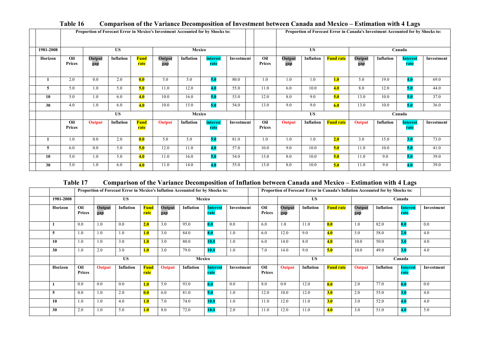|           |                      |               |           |                     |               |                  | Proportion of Forecast Error in Mexico's Investment Accounted for by Shocks to: |                   |  |                      | Proportion of Forecast Error in Canada's Investment Accounted for by Shocks to: |           |                  |               |           |                         |            |  |
|-----------|----------------------|---------------|-----------|---------------------|---------------|------------------|---------------------------------------------------------------------------------|-------------------|--|----------------------|---------------------------------------------------------------------------------|-----------|------------------|---------------|-----------|-------------------------|------------|--|
| 1981-2008 |                      |               | <b>US</b> |                     |               | Mexico           |                                                                                 |                   |  |                      |                                                                                 | <b>US</b> |                  | Canada        |           |                         |            |  |
| Horizon   | Oil<br><b>Prices</b> | Output<br>gap | Inflation | <b>Fund</b><br>rate | Output<br>gap | <b>Inflation</b> | interest<br>rate                                                                | <b>Investment</b> |  | Oil<br><b>Prices</b> | Output<br>Inflation<br>gap                                                      |           | <b>Fund rate</b> | Output<br>gap | Inflation | <b>Interest</b><br>rate | Investment |  |
|           | 2.0                  | 0.0           | 2.0       | 0.0                 | 5.0           | 5.0              | 5.0                                                                             | 80.0              |  | 1.0                  | 1.0                                                                             | 1.0       | 1.0              | 5.0           | 19.0      | 4.0                     | 69.0       |  |
| 5         | 5.0                  | 1.0           | 5.0       | 5.0                 | 11.0          | 12.0             | 4.0                                                                             | 55.0              |  | 11.0                 | 6.0                                                                             | 10.0      | 4.0              | 8.0           | 12.0      | 5.0                     | 44.0       |  |
| 10        | 5.0                  | 1.0           | 6.0       | 4.0                 | 10.0          | 16.0             | 5.0                                                                             | 53.0              |  | 12.0                 | 8.0                                                                             | 9.0       | 5.0              | 13.0          | 10.0      | 5.0                     | 37.0       |  |
| 30        | 4.0                  | 1.0           | 6.0       | 4.0                 | 10.0          | 15.0             | 5.0                                                                             | 54.0              |  | 13.0                 | 9.0                                                                             | 9.0       | 6.0              | 13.0          | 10.0      | 5.0                     | 36.0       |  |
|           |                      |               | <b>US</b> |                     |               | Mexico           |                                                                                 |                   |  |                      | <b>US</b><br>Canada                                                             |           |                  |               |           |                         |            |  |
|           | Oil<br><b>Prices</b> | Output        | Inflation | <b>Fund</b><br>rate | Output        | Inflation        | interest<br>rate                                                                | Investment        |  | Oil<br><b>Prices</b> | Output                                                                          | Inflation | <b>Fund rate</b> | Output        | Inflation | <b>Interest</b><br>rate | Investment |  |
|           | 1.0                  | 0.0           | 2.0       | 0.0                 | 5.0           | 5.0              | 5.0                                                                             | 81.0              |  | 1.0                  | 1.0                                                                             | 1.0       | 2.0              | 3.0           | 15.0      | 3.0                     | 73.0       |  |
| 5         | 6.0                  | 0.0           | 5.0       | 5.0                 | 12.0          | 11.0             | 4.0                                                                             | 57.0              |  | 10.0                 | 9.0                                                                             | 10.0      | 5.0              | 11.0          | 10.0      | 5.0                     | 41.0       |  |
| 10        | 5.0                  | 1.0           | 5.0       | 4.0                 | 11.0          | 16.0             | 5.0                                                                             | 54.0              |  | 13.0                 | 8.0                                                                             | 10.0      | 5.0              | 11.0          | 9.0       | 5.0                     | 39.0       |  |
| 30        | 5.0                  | 1.0           | 6.0       | 4.0                 | 11.0          | 14.0             | 4.0                                                                             | 55.0              |  | 13.0                 | 8.0                                                                             | 10.0      | 5.0              | 11.0          | 9.0       | 4.0                     | 39.0       |  |

**Table 16 Comparison of the Variance Decomposition of Investment between Canada and Mexico – Estimation with 4 Lags** 

## **Table 17 Comparison of the Variance Decomposition of Inflation between Canada and Mexico – Estimation with 4 Lags**

|           |                      |               |           |                     |               | Proportion of Forecast Error in Mexico's Inflation Accounted for by Shocks to: |                         |            |                      |               |           | Proportion of Forecast Error in Canada's Inflation Accounted for by Shocks to: |               |           |                         |            |  |
|-----------|----------------------|---------------|-----------|---------------------|---------------|--------------------------------------------------------------------------------|-------------------------|------------|----------------------|---------------|-----------|--------------------------------------------------------------------------------|---------------|-----------|-------------------------|------------|--|
| 1981-2008 |                      |               | <b>US</b> |                     |               | Mexico                                                                         |                         |            |                      |               | <b>US</b> |                                                                                |               | Canada    |                         |            |  |
| Horizon   | Oil<br><b>Prices</b> | Output<br>gap | Inflation | <b>Fund</b><br>rate | Output<br>gap | Inflation                                                                      | <b>Interest</b><br>rate | Investment | Oil<br><b>Prices</b> | Output<br>gap | Inflation | <b>Fund rate</b>                                                               | Output<br>gap | Inflation | <b>Interest</b><br>rate | Investment |  |
|           | 0.0                  | 1.0           | 0.0       | 2.0                 | 3.0           | 95.0                                                                           | 0.0                     | 0.0        | 6.0                  | 1.0           | 11.0      | $\bf{0.0}$                                                                     | 1.0           | 82.0      | 0.0                     | 0.0        |  |
| 5         | $1.0\,$              | 1.0           | 1.0       | 1.0                 | 3.0           | 84.0                                                                           | 8.0                     | 1.0        | 6.0                  | 12.0          | 9.0       | 4.0                                                                            | 5.0           | 58.0      | 2.0                     | 4.0        |  |
| 10        | $1.0\,$              | 1.0           | 3.0       | 1.0                 | 3.0           | 80.0                                                                           | <b>10.0</b>             | 1.0        | 6.0                  | 14.0          | 8.0       | 4.0                                                                            | 10.0          | 50.0      | 3.0                     | 4.0        |  |
| 30        | $1.0\,$              | 2.0           | 3.0       | <b>1.0</b>          | 3.0           | 79.0                                                                           | <b>10.0</b>             | 1.0        | 7.0                  | 14.0          | 9.0       | 5.0                                                                            | 10.0          | 49.0      | 3.0                     | 4.0        |  |
|           |                      |               | <b>US</b> |                     |               | Mexico                                                                         |                         |            |                      |               | <b>US</b> |                                                                                |               |           | Canada                  |            |  |
| Horizon   | Oil<br>Prices        | Output        | Inflation | <b>Fund</b><br>rate | Output        | Inflation                                                                      | <b>Interest</b><br>rate | Investment | Oil<br><b>Prices</b> | <b>Output</b> | Inflation | <b>Fund rate</b>                                                               | Output        | Inflation | <b>Interest</b><br>rate | Investment |  |
|           | 0.0                  | 0.0           | 0.0       | 1.0                 | 5.0           | 93.0                                                                           | 0.0                     | 0.0        | 8.0                  | 0.0           | 12.0      | 0.0                                                                            | 2.0           | 77.0      | 0.0                     | 0.0        |  |
| 5         | 0.0                  | 1.0           | 2.0       | 0.0                 | 6.0           | 81.0                                                                           | 9.0                     | 1.0        | 12.0                 | 10.0          | 12.0      | 3.0                                                                            | 2.0           | 55.0      | 3.0                     | 4.0        |  |
| 10        | $1.0\,$              | 1.0           | 4.0       | 1.0                 | 7.0           | 74.0                                                                           | <b>10.0</b>             | 1.0        | 11.0                 | 12.0          | 11.0      | 3.0                                                                            | 3.0           | 52.0      | 4.0                     | 4.0        |  |
| 30        | 2.0                  | 1.0           | 5.0       | 1.0                 | 8.0           | 72.0                                                                           | <b>10.0</b>             | 2.0        | 11.0                 | 12.0          | 11.0      | 4.0                                                                            | 3.0           | 51.0      | 4.0                     | 5.0        |  |